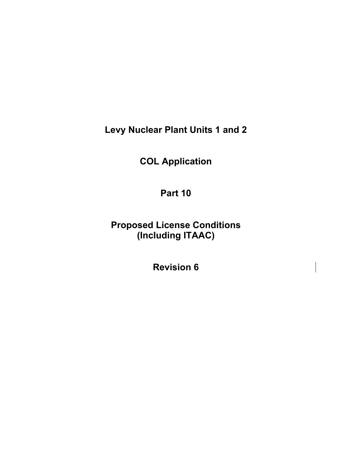**Levy Nuclear Plant Units 1 and 2** 

**COL Application** 

**Part 10** 

**Proposed License Conditions (Including ITAAC)** 

**Revision 6**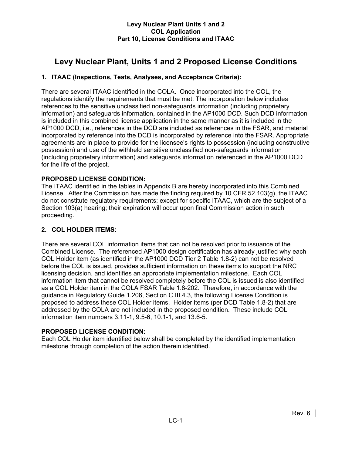# **Levy Nuclear Plant, Units 1 and 2 Proposed License Conditions**

# **1. ITAAC (Inspections, Tests, Analyses, and Acceptance Criteria):**

There are several ITAAC identified in the COLA. Once incorporated into the COL, the regulations identify the requirements that must be met. The incorporation below includes references to the sensitive unclassified non-safeguards information (including proprietary information) and safeguards information, contained in the AP1000 DCD. Such DCD information is included in this combined license application in the same manner as it is included in the AP1000 DCD, i.e., references in the DCD are included as references in the FSAR, and material incorporated by reference into the DCD is incorporated by reference into the FSAR. Appropriate agreements are in place to provide for the licensee's rights to possession (including constructive possession) and use of the withheld sensitive unclassified non-safeguards information (including proprietary information) and safeguards information referenced in the AP1000 DCD for the life of the project.

# **PROPOSED LICENSE CONDITION:**

The ITAAC identified in the tables in Appendix B are hereby incorporated into this Combined License. After the Commission has made the finding required by 10 CFR 52.103(g), the ITAAC do not constitute regulatory requirements; except for specific ITAAC, which are the subject of a Section 103(a) hearing; their expiration will occur upon final Commission action in such proceeding.

# **2. COL HOLDER ITEMS:**

There are several COL information items that can not be resolved prior to issuance of the Combined License. The referenced AP1000 design certification has already justified why each COL Holder item (as identified in the AP1000 DCD Tier 2 Table 1.8-2) can not be resolved before the COL is issued, provides sufficient information on these items to support the NRC licensing decision, and identifies an appropriate implementation milestone. Each COL information item that cannot be resolved completely before the COL is issued is also identified as a COL Holder item in the COLA FSAR Table 1.8-202. Therefore, in accordance with the guidance in Regulatory Guide 1.206, Section C.III.4.3, the following License Condition is proposed to address these COL Holder items. Holder items (per DCD Table 1.8-2) that are addressed by the COLA are not included in the proposed condition. These include COL information item numbers 3.11-1, 9.5-6, 10.1-1, and 13.6-5.

# **PROPOSED LICENSE CONDITION:**

Each COL Holder item identified below shall be completed by the identified implementation milestone through completion of the action therein identified.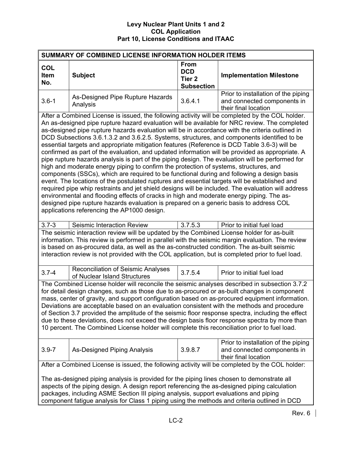| SUMMARY OF COMBINED LICENSE INFORMATION HOLDER ITEMS                                                                                                                                                                                                                                                                                                                                                                                                                                                                                                                                                                                                                                                                                                                                                                                                                                                                                                                                                                                                                                                                                                                                                                                                                                                                                         |                                                                                                                                                                                                                                                                                                                                                                                                    |                                                                     |                                                                                            |  |  |  |
|----------------------------------------------------------------------------------------------------------------------------------------------------------------------------------------------------------------------------------------------------------------------------------------------------------------------------------------------------------------------------------------------------------------------------------------------------------------------------------------------------------------------------------------------------------------------------------------------------------------------------------------------------------------------------------------------------------------------------------------------------------------------------------------------------------------------------------------------------------------------------------------------------------------------------------------------------------------------------------------------------------------------------------------------------------------------------------------------------------------------------------------------------------------------------------------------------------------------------------------------------------------------------------------------------------------------------------------------|----------------------------------------------------------------------------------------------------------------------------------------------------------------------------------------------------------------------------------------------------------------------------------------------------------------------------------------------------------------------------------------------------|---------------------------------------------------------------------|--------------------------------------------------------------------------------------------|--|--|--|
| <b>COL</b><br>Item<br>No.                                                                                                                                                                                                                                                                                                                                                                                                                                                                                                                                                                                                                                                                                                                                                                                                                                                                                                                                                                                                                                                                                                                                                                                                                                                                                                                    | <b>Subject</b>                                                                                                                                                                                                                                                                                                                                                                                     | <b>From</b><br><b>DCD</b><br>Tier <sub>2</sub><br><b>Subsection</b> | <b>Implementation Milestone</b>                                                            |  |  |  |
| $3.6 - 1$                                                                                                                                                                                                                                                                                                                                                                                                                                                                                                                                                                                                                                                                                                                                                                                                                                                                                                                                                                                                                                                                                                                                                                                                                                                                                                                                    | As-Designed Pipe Rupture Hazards<br>Analysis                                                                                                                                                                                                                                                                                                                                                       | 3.6.4.1                                                             | Prior to installation of the piping<br>and connected components in<br>their final location |  |  |  |
| After a Combined License is issued, the following activity will be completed by the COL holder.<br>An as-designed pipe rupture hazard evaluation will be available for NRC review. The completed<br>as-designed pipe rupture hazards evaluation will be in accordance with the criteria outlined in<br>DCD Subsections 3.6.1.3.2 and 3.6.2.5. Systems, structures, and components identified to be<br>essential targets and appropriate mitigation features (Reference is DCD Table 3.6-3) will be<br>confirmed as part of the evaluation, and updated information will be provided as appropriate. A<br>pipe rupture hazards analysis is part of the piping design. The evaluation will be performed for<br>high and moderate energy piping to confirm the protection of systems, structures, and<br>components (SSCs), which are required to be functional during and following a design basis<br>event. The locations of the postulated ruptures and essential targets will be established and<br>required pipe whip restraints and jet shield designs will be included. The evaluation will address<br>environmental and flooding effects of cracks in high and moderate energy piping. The as-<br>designed pipe rupture hazards evaluation is prepared on a generic basis to address COL<br>applications referencing the AP1000 design. |                                                                                                                                                                                                                                                                                                                                                                                                    |                                                                     |                                                                                            |  |  |  |
| $3.7 - 3$                                                                                                                                                                                                                                                                                                                                                                                                                                                                                                                                                                                                                                                                                                                                                                                                                                                                                                                                                                                                                                                                                                                                                                                                                                                                                                                                    | Seismic Interaction Review                                                                                                                                                                                                                                                                                                                                                                         | 3.7.5.3                                                             | Prior to initial fuel load                                                                 |  |  |  |
|                                                                                                                                                                                                                                                                                                                                                                                                                                                                                                                                                                                                                                                                                                                                                                                                                                                                                                                                                                                                                                                                                                                                                                                                                                                                                                                                              | The seismic interaction review will be updated by the Combined License holder for as-built<br>information. This review is performed in parallel with the seismic margin evaluation. The review<br>is based on as-procured data, as well as the as-constructed condition. The as-built seismic<br>interaction review is not provided with the COL application, but is completed prior to fuel load. |                                                                     |                                                                                            |  |  |  |
| $3.7 - 4$                                                                                                                                                                                                                                                                                                                                                                                                                                                                                                                                                                                                                                                                                                                                                                                                                                                                                                                                                                                                                                                                                                                                                                                                                                                                                                                                    | <b>Reconciliation of Seismic Analyses</b><br>of Nuclear Island Structures                                                                                                                                                                                                                                                                                                                          | 3.7.5.4                                                             | Prior to initial fuel load                                                                 |  |  |  |
| The Combined License holder will reconcile the seismic analyses described in subsection 3.7.2<br>for detail design changes, such as those due to as-procured or as-built changes in component<br>mass, center of gravity, and support configuration based on as-procured equipment information.<br>Deviations are acceptable based on an evaluation consistent with the methods and procedure<br>of Section 3.7 provided the amplitude of the seismic floor response spectra, including the effect<br>due to these deviations, does not exceed the design basis floor response spectra by more than<br>10 percent. The Combined License holder will complete this reconciliation prior to fuel load.                                                                                                                                                                                                                                                                                                                                                                                                                                                                                                                                                                                                                                         |                                                                                                                                                                                                                                                                                                                                                                                                    |                                                                     |                                                                                            |  |  |  |
| $3.9 - 7$                                                                                                                                                                                                                                                                                                                                                                                                                                                                                                                                                                                                                                                                                                                                                                                                                                                                                                                                                                                                                                                                                                                                                                                                                                                                                                                                    | As-Designed Piping Analysis                                                                                                                                                                                                                                                                                                                                                                        | 3.9.8.7                                                             | Prior to installation of the piping<br>and connected components in<br>their final location |  |  |  |
|                                                                                                                                                                                                                                                                                                                                                                                                                                                                                                                                                                                                                                                                                                                                                                                                                                                                                                                                                                                                                                                                                                                                                                                                                                                                                                                                              | After a Combined License is issued, the following activity will be completed by the COL holder:                                                                                                                                                                                                                                                                                                    |                                                                     |                                                                                            |  |  |  |
|                                                                                                                                                                                                                                                                                                                                                                                                                                                                                                                                                                                                                                                                                                                                                                                                                                                                                                                                                                                                                                                                                                                                                                                                                                                                                                                                              | The as-designed piping analysis is provided for the piping lines chosen to demonstrate all<br>aspects of the piping design. A design report referencing the as-designed piping calculation<br>packages, including ASME Section III piping analysis, support evaluations and piping<br>component fatigue analysis for Class 1 piping using the methods and criteria outlined in DCD                 |                                                                     |                                                                                            |  |  |  |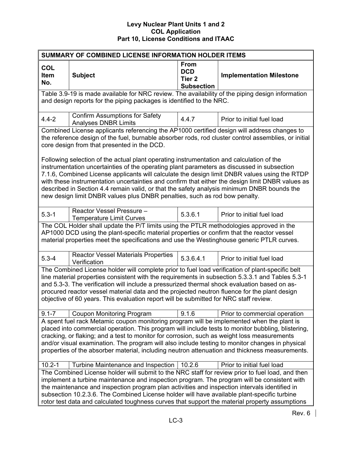| SUMMARY OF COMBINED LICENSE INFORMATION HOLDER ITEMS                                                                                                                                                                                                                                                                                                                                                                                                                                                |                                                                                                                                                                                                                                                                                                                                                                                                                                                                                                   |                                                                     |                                 |  |  |
|-----------------------------------------------------------------------------------------------------------------------------------------------------------------------------------------------------------------------------------------------------------------------------------------------------------------------------------------------------------------------------------------------------------------------------------------------------------------------------------------------------|---------------------------------------------------------------------------------------------------------------------------------------------------------------------------------------------------------------------------------------------------------------------------------------------------------------------------------------------------------------------------------------------------------------------------------------------------------------------------------------------------|---------------------------------------------------------------------|---------------------------------|--|--|
| <b>COL</b><br><b>Item</b><br>No.                                                                                                                                                                                                                                                                                                                                                                                                                                                                    | <b>Subject</b>                                                                                                                                                                                                                                                                                                                                                                                                                                                                                    | <b>From</b><br><b>DCD</b><br>Tier <sub>2</sub><br><b>Subsection</b> | <b>Implementation Milestone</b> |  |  |
| Table 3.9-19 is made available for NRC review. The availability of the piping design information<br>and design reports for the piping packages is identified to the NRC.                                                                                                                                                                                                                                                                                                                            |                                                                                                                                                                                                                                                                                                                                                                                                                                                                                                   |                                                                     |                                 |  |  |
| $4.4 - 2$                                                                                                                                                                                                                                                                                                                                                                                                                                                                                           | <b>Confirm Assumptions for Safety</b><br><b>Analyses DNBR Limits</b>                                                                                                                                                                                                                                                                                                                                                                                                                              | 4.4.7                                                               | Prior to initial fuel load      |  |  |
|                                                                                                                                                                                                                                                                                                                                                                                                                                                                                                     | Combined License applicants referencing the AP1000 certified design will address changes to<br>the reference design of the fuel, burnable absorber rods, rod cluster control assemblies, or initial<br>core design from that presented in the DCD.<br>Following selection of the actual plant operating instrumentation and calculation of the                                                                                                                                                    |                                                                     |                                 |  |  |
|                                                                                                                                                                                                                                                                                                                                                                                                                                                                                                     | instrumentation uncertainties of the operating plant parameters as discussed in subsection<br>7.1.6, Combined License applicants will calculate the design limit DNBR values using the RTDP<br>with these instrumentation uncertainties and confirm that either the design limit DNBR values as<br>described in Section 4.4 remain valid, or that the safety analysis minimum DNBR bounds the<br>new design limit DNBR values plus DNBR penalties, such as rod bow penalty.                       |                                                                     |                                 |  |  |
| $5.3 - 1$                                                                                                                                                                                                                                                                                                                                                                                                                                                                                           | Reactor Vessel Pressure -<br><b>Temperature Limit Curves</b>                                                                                                                                                                                                                                                                                                                                                                                                                                      | 5.3.6.1                                                             | Prior to initial fuel load      |  |  |
|                                                                                                                                                                                                                                                                                                                                                                                                                                                                                                     | The COL Holder shall update the P/T limits using the PTLR methodologies approved in the<br>AP1000 DCD using the plant-specific material properties or confirm that the reactor vessel<br>material properties meet the specifications and use the Westinghouse generic PTLR curves.                                                                                                                                                                                                                |                                                                     |                                 |  |  |
| $5.3 - 4$                                                                                                                                                                                                                                                                                                                                                                                                                                                                                           | <b>Reactor Vessel Materials Properties</b><br>Verification                                                                                                                                                                                                                                                                                                                                                                                                                                        | 5.3.6.4.1                                                           | Prior to initial fuel load      |  |  |
| The Combined License holder will complete prior to fuel load verification of plant-specific belt<br>line material properties consistent with the requirements in subsection 5.3.3.1 and Tables 5.3-1<br>and 5.3-3. The verification will include a pressurized thermal shock evaluation based on as-<br>procured reactor vessel material data and the projected neutron fluence for the plant design<br>objective of 60 years. This evaluation report will be submitted for NRC staff review.       |                                                                                                                                                                                                                                                                                                                                                                                                                                                                                                   |                                                                     |                                 |  |  |
| $9.1 - 7$                                                                                                                                                                                                                                                                                                                                                                                                                                                                                           | <b>Coupon Monitoring Program</b>                                                                                                                                                                                                                                                                                                                                                                                                                                                                  | 9.1.6                                                               | Prior to commercial operation   |  |  |
| A spent fuel rack Metamic coupon monitoring program will be implemented when the plant is<br>placed into commercial operation. This program will include tests to monitor bubbling, blistering,<br>cracking, or flaking; and a test to monitor for corrosion, such as weight loss measurements<br>and/or visual examination. The program will also include testing to monitor changes in physical<br>properties of the absorber material, including neutron attenuation and thickness measurements. |                                                                                                                                                                                                                                                                                                                                                                                                                                                                                                   |                                                                     |                                 |  |  |
| $10.2 - 1$                                                                                                                                                                                                                                                                                                                                                                                                                                                                                          | Turbine Maintenance and Inspection                                                                                                                                                                                                                                                                                                                                                                                                                                                                | 10.2.6                                                              | Prior to initial fuel load      |  |  |
|                                                                                                                                                                                                                                                                                                                                                                                                                                                                                                     | The Combined License holder will submit to the NRC staff for review prior to fuel load, and then<br>implement a turbine maintenance and inspection program. The program will be consistent with<br>the maintenance and inspection program plan activities and inspection intervals identified in<br>subsection 10.2.3.6. The Combined License holder will have available plant-specific turbine<br>rotor test data and calculated toughness curves that support the material property assumptions |                                                                     |                                 |  |  |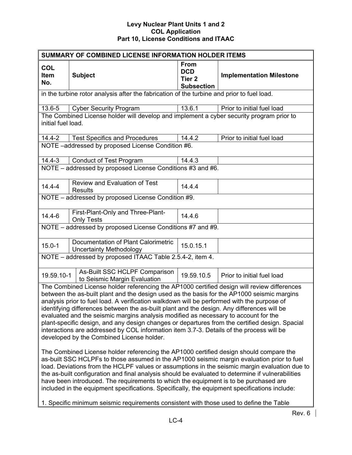| SUMMARY OF COMBINED LICENSE INFORMATION HOLDER ITEMS                                                                                                                                                                                                                                                                                                                                                                                                                                                                                                                                                                                                                                                                                                                                                                                                                                                                                                                                                                                                                                                                                                                                                          |                                                                                               |                                                                     |                                 |  |  |
|---------------------------------------------------------------------------------------------------------------------------------------------------------------------------------------------------------------------------------------------------------------------------------------------------------------------------------------------------------------------------------------------------------------------------------------------------------------------------------------------------------------------------------------------------------------------------------------------------------------------------------------------------------------------------------------------------------------------------------------------------------------------------------------------------------------------------------------------------------------------------------------------------------------------------------------------------------------------------------------------------------------------------------------------------------------------------------------------------------------------------------------------------------------------------------------------------------------|-----------------------------------------------------------------------------------------------|---------------------------------------------------------------------|---------------------------------|--|--|
| <b>COL</b><br>Item<br>No.                                                                                                                                                                                                                                                                                                                                                                                                                                                                                                                                                                                                                                                                                                                                                                                                                                                                                                                                                                                                                                                                                                                                                                                     | <b>Subject</b>                                                                                | <b>From</b><br><b>DCD</b><br>Tier <sub>2</sub><br><b>Subsection</b> | <b>Implementation Milestone</b> |  |  |
|                                                                                                                                                                                                                                                                                                                                                                                                                                                                                                                                                                                                                                                                                                                                                                                                                                                                                                                                                                                                                                                                                                                                                                                                               | in the turbine rotor analysis after the fabrication of the turbine and prior to fuel load.    |                                                                     |                                 |  |  |
| 13.6-5                                                                                                                                                                                                                                                                                                                                                                                                                                                                                                                                                                                                                                                                                                                                                                                                                                                                                                                                                                                                                                                                                                                                                                                                        | <b>Cyber Security Program</b>                                                                 | 13.6.1                                                              | Prior to initial fuel load      |  |  |
| initial fuel load.                                                                                                                                                                                                                                                                                                                                                                                                                                                                                                                                                                                                                                                                                                                                                                                                                                                                                                                                                                                                                                                                                                                                                                                            | The Combined License holder will develop and implement a cyber security program prior to      |                                                                     |                                 |  |  |
| $14.4 - 2$                                                                                                                                                                                                                                                                                                                                                                                                                                                                                                                                                                                                                                                                                                                                                                                                                                                                                                                                                                                                                                                                                                                                                                                                    | <b>Test Specifics and Procedures</b>                                                          | 14.4.2                                                              | Prior to initial fuel load      |  |  |
|                                                                                                                                                                                                                                                                                                                                                                                                                                                                                                                                                                                                                                                                                                                                                                                                                                                                                                                                                                                                                                                                                                                                                                                                               | NOTE -addressed by proposed License Condition #6.                                             |                                                                     |                                 |  |  |
| $14.4 - 3$                                                                                                                                                                                                                                                                                                                                                                                                                                                                                                                                                                                                                                                                                                                                                                                                                                                                                                                                                                                                                                                                                                                                                                                                    | <b>Conduct of Test Program</b>                                                                | 14.4.3                                                              |                                 |  |  |
|                                                                                                                                                                                                                                                                                                                                                                                                                                                                                                                                                                                                                                                                                                                                                                                                                                                                                                                                                                                                                                                                                                                                                                                                               | NOTE - addressed by proposed License Conditions #3 and #6.                                    |                                                                     |                                 |  |  |
| $14.4 - 4$                                                                                                                                                                                                                                                                                                                                                                                                                                                                                                                                                                                                                                                                                                                                                                                                                                                                                                                                                                                                                                                                                                                                                                                                    | <b>Review and Evaluation of Test</b><br><b>Results</b>                                        | 14.4.4                                                              |                                 |  |  |
|                                                                                                                                                                                                                                                                                                                                                                                                                                                                                                                                                                                                                                                                                                                                                                                                                                                                                                                                                                                                                                                                                                                                                                                                               | NOTE - addressed by proposed License Condition #9.                                            |                                                                     |                                 |  |  |
| $14.4 - 6$                                                                                                                                                                                                                                                                                                                                                                                                                                                                                                                                                                                                                                                                                                                                                                                                                                                                                                                                                                                                                                                                                                                                                                                                    | First-Plant-Only and Three-Plant-<br><b>Only Tests</b>                                        | 14.4.6                                                              |                                 |  |  |
|                                                                                                                                                                                                                                                                                                                                                                                                                                                                                                                                                                                                                                                                                                                                                                                                                                                                                                                                                                                                                                                                                                                                                                                                               | NOTE - addressed by proposed License Conditions #7 and #9.                                    |                                                                     |                                 |  |  |
| $15.0 - 1$                                                                                                                                                                                                                                                                                                                                                                                                                                                                                                                                                                                                                                                                                                                                                                                                                                                                                                                                                                                                                                                                                                                                                                                                    | Documentation of Plant Calorimetric<br><b>Uncertainty Methodology</b>                         | 15.0.15.1                                                           |                                 |  |  |
|                                                                                                                                                                                                                                                                                                                                                                                                                                                                                                                                                                                                                                                                                                                                                                                                                                                                                                                                                                                                                                                                                                                                                                                                               | NOTE - addressed by proposed ITAAC Table 2.5.4-2, item 4.                                     |                                                                     |                                 |  |  |
| 19.59.10-1                                                                                                                                                                                                                                                                                                                                                                                                                                                                                                                                                                                                                                                                                                                                                                                                                                                                                                                                                                                                                                                                                                                                                                                                    | As-Built SSC HCLPF Comparison<br>to Seismic Margin Evaluation                                 | 19.59.10.5                                                          | Prior to initial fuel load      |  |  |
| The Combined License holder referencing the AP1000 certified design will review differences<br>between the as-built plant and the design used as the basis for the AP1000 seismic margins<br>analysis prior to fuel load. A verification walkdown will be performed with the purpose of<br>identifying differences between the as-built plant and the design. Any differences will be<br>evaluated and the seismic margins analysis modified as necessary to account for the<br>plant-specific design, and any design changes or departures from the certified design. Spacial<br>interactions are addressed by COL information item 3.7-3. Details of the process will be<br>developed by the Combined License holder.<br>The Combined License holder referencing the AP1000 certified design should compare the<br>as-built SSC HCLPFs to those assumed in the AP1000 seismic margin evaluation prior to fuel<br>load. Deviations from the HCLPF values or assumptions in the seismic margin evaluation due to<br>the as-built configuration and final analysis should be evaluated to determine if vulnerabilities<br>have been introduced. The requirements to which the equipment is to be purchased are |                                                                                               |                                                                     |                                 |  |  |
|                                                                                                                                                                                                                                                                                                                                                                                                                                                                                                                                                                                                                                                                                                                                                                                                                                                                                                                                                                                                                                                                                                                                                                                                               | included in the equipment specifications. Specifically, the equipment specifications include: |                                                                     |                                 |  |  |
|                                                                                                                                                                                                                                                                                                                                                                                                                                                                                                                                                                                                                                                                                                                                                                                                                                                                                                                                                                                                                                                                                                                                                                                                               | 1. Specific minimum seismic requirements consistent with those used to define the Table       |                                                                     |                                 |  |  |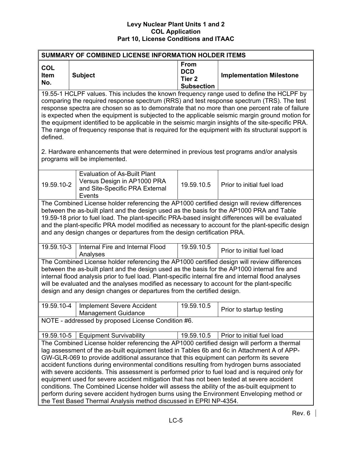| <b>SUMMARY OF COMBINED LICENSE INFORMATION HOLDER ITEMS</b>                                                                                                                                                                                                                                                                                                                                                                                                                                                                                                                                                                                                                                                                                                                                                                                        |                                                                                                                                                                                                                                                                                                                                                                                                                                                                          |                                                                     |                                 |  |  |  |  |
|----------------------------------------------------------------------------------------------------------------------------------------------------------------------------------------------------------------------------------------------------------------------------------------------------------------------------------------------------------------------------------------------------------------------------------------------------------------------------------------------------------------------------------------------------------------------------------------------------------------------------------------------------------------------------------------------------------------------------------------------------------------------------------------------------------------------------------------------------|--------------------------------------------------------------------------------------------------------------------------------------------------------------------------------------------------------------------------------------------------------------------------------------------------------------------------------------------------------------------------------------------------------------------------------------------------------------------------|---------------------------------------------------------------------|---------------------------------|--|--|--|--|
| <b>COL</b><br>Item<br>No.                                                                                                                                                                                                                                                                                                                                                                                                                                                                                                                                                                                                                                                                                                                                                                                                                          | <b>Subject</b>                                                                                                                                                                                                                                                                                                                                                                                                                                                           | <b>From</b><br><b>DCD</b><br>Tier <sub>2</sub><br><b>Subsection</b> | <b>Implementation Milestone</b> |  |  |  |  |
| 19.55-1 HCLPF values. This includes the known frequency range used to define the HCLPF by<br>comparing the required response spectrum (RRS) and test response spectrum (TRS). The test<br>response spectra are chosen so as to demonstrate that no more than one percent rate of failure<br>is expected when the equipment is subjected to the applicable seismic margin ground motion for<br>the equipment identified to be applicable in the seismic margin insights of the site-specific PRA.<br>The range of frequency response that is required for the equipment with its structural support is<br>defined.<br>2. Hardware enhancements that were determined in previous test programs and/or analysis                                                                                                                                       |                                                                                                                                                                                                                                                                                                                                                                                                                                                                          |                                                                     |                                 |  |  |  |  |
|                                                                                                                                                                                                                                                                                                                                                                                                                                                                                                                                                                                                                                                                                                                                                                                                                                                    | programs will be implemented.                                                                                                                                                                                                                                                                                                                                                                                                                                            |                                                                     |                                 |  |  |  |  |
| 19.59.10-2                                                                                                                                                                                                                                                                                                                                                                                                                                                                                                                                                                                                                                                                                                                                                                                                                                         | <b>Evaluation of As-Built Plant</b><br>Versus Design in AP1000 PRA<br>and Site-Specific PRA External<br>Events                                                                                                                                                                                                                                                                                                                                                           | 19.59.10.5                                                          | Prior to initial fuel load      |  |  |  |  |
|                                                                                                                                                                                                                                                                                                                                                                                                                                                                                                                                                                                                                                                                                                                                                                                                                                                    | The Combined License holder referencing the AP1000 certified design will review differences<br>between the as-built plant and the design used as the basis for the AP1000 PRA and Table<br>19.59-18 prior to fuel load. The plant-specific PRA-based insight differences will be evaluated<br>and the plant-specific PRA model modified as necessary to account for the plant-specific design<br>and any design changes or departures from the design certification PRA. |                                                                     |                                 |  |  |  |  |
| 19.59.10-3                                                                                                                                                                                                                                                                                                                                                                                                                                                                                                                                                                                                                                                                                                                                                                                                                                         | Internal Fire and Internal Flood<br>Analyses                                                                                                                                                                                                                                                                                                                                                                                                                             | 19.59.10.5                                                          | Prior to initial fuel load      |  |  |  |  |
| The Combined License holder referencing the AP1000 certified design will review differences<br>between the as-built plant and the design used as the basis for the AP1000 internal fire and<br>internal flood analysis prior to fuel load. Plant-specific internal fire and internal flood analyses<br>will be evaluated and the analyses modified as necessary to account for the plant-specific<br>design and any design changes or departures from the certified design.                                                                                                                                                                                                                                                                                                                                                                        |                                                                                                                                                                                                                                                                                                                                                                                                                                                                          |                                                                     |                                 |  |  |  |  |
| 19.59.10-4                                                                                                                                                                                                                                                                                                                                                                                                                                                                                                                                                                                                                                                                                                                                                                                                                                         | <b>Implement Severe Accident</b><br><b>Management Guidance</b>                                                                                                                                                                                                                                                                                                                                                                                                           | 19.59.10.5                                                          | Prior to startup testing        |  |  |  |  |
|                                                                                                                                                                                                                                                                                                                                                                                                                                                                                                                                                                                                                                                                                                                                                                                                                                                    | NOTE - addressed by proposed License Condition #6.                                                                                                                                                                                                                                                                                                                                                                                                                       |                                                                     |                                 |  |  |  |  |
| 19.59.10-5                                                                                                                                                                                                                                                                                                                                                                                                                                                                                                                                                                                                                                                                                                                                                                                                                                         | <b>Equipment Survivability</b>                                                                                                                                                                                                                                                                                                                                                                                                                                           | 19.59.10.5                                                          | Prior to initial fuel load      |  |  |  |  |
| The Combined License holder referencing the AP1000 certified design will perform a thermal<br>lag assessment of the as-built equipment listed in Tables 6b and 6c in Attachment A of APP-<br>GW-GLR-069 to provide additional assurance that this equipment can perform its severe<br>accident functions during environmental conditions resulting from hydrogen burns associated<br>with severe accidents. This assessment is performed prior to fuel load and is required only for<br>equipment used for severe accident mitigation that has not been tested at severe accident<br>conditions. The Combined License holder will assess the ability of the as-built equipment to<br>perform during severe accident hydrogen burns using the Environment Enveloping method or<br>the Test Based Thermal Analysis method discussed in EPRI NP-4354. |                                                                                                                                                                                                                                                                                                                                                                                                                                                                          |                                                                     |                                 |  |  |  |  |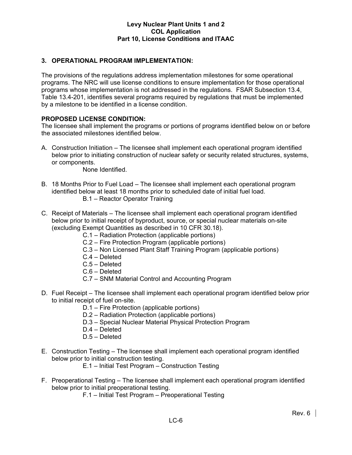# **3. OPERATIONAL PROGRAM IMPLEMENTATION:**

The provisions of the regulations address implementation milestones for some operational programs. The NRC will use license conditions to ensure implementation for those operational programs whose implementation is not addressed in the regulations. FSAR Subsection 13.4, Table 13.4-201, identifies several programs required by regulations that must be implemented by a milestone to be identified in a license condition.

# **PROPOSED LICENSE CONDITION:**

The licensee shall implement the programs or portions of programs identified below on or before the associated milestones identified below.

A. Construction Initiation – The licensee shall implement each operational program identified below prior to initiating construction of nuclear safety or security related structures, systems, or components.

None Identified.

- B. 18 Months Prior to Fuel Load The licensee shall implement each operational program identified below at least 18 months prior to scheduled date of initial fuel load. B.1 – Reactor Operator Training
- C. Receipt of Materials The licensee shall implement each operational program identified below prior to initial receipt of byproduct, source, or special nuclear materials on-site (excluding Exempt Quantities as described in 10 CFR 30.18).
	- C.1 Radiation Protection (applicable portions)
	- C.2 Fire Protection Program (applicable portions)
	- C.3 Non Licensed Plant Staff Training Program (applicable portions)
	- C.4 Deleted
	- C.5 Deleted
	- C.6 Deleted
	- C.7 SNM Material Control and Accounting Program
- D. Fuel Receipt The licensee shall implement each operational program identified below prior to initial receipt of fuel on-site.
	- D.1 Fire Protection (applicable portions)
	- D.2 Radiation Protection (applicable portions)
	- D.3 Special Nuclear Material Physical Protection Program
	- D.4 Deleted
	- D.5 Deleted
- E. Construction Testing The licensee shall implement each operational program identified below prior to initial construction testing.
	- E.1 Initial Test Program Construction Testing
- F. Preoperational Testing The licensee shall implement each operational program identified below prior to initial preoperational testing.
	- F.1 Initial Test Program Preoperational Testing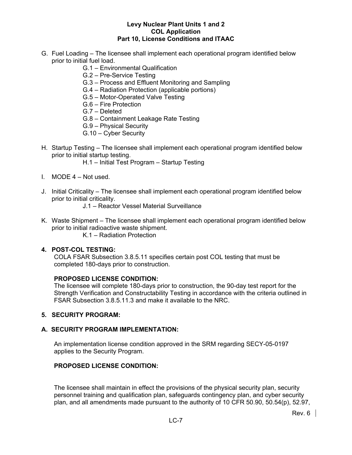- G. Fuel Loading The licensee shall implement each operational program identified below prior to initial fuel load.
	- G.1 Environmental Qualification
	- G.2 Pre-Service Testing
	- G.3 Process and Effluent Monitoring and Sampling
	- G.4 Radiation Protection (applicable portions)
	- G.5 Motor-Operated Valve Testing
	- G.6 Fire Protection
	- G.7 Deleted
	- G.8 Containment Leakage Rate Testing
	- G.9 Physical Security
	- G.10 Cyber Security
- H. Startup Testing The licensee shall implement each operational program identified below prior to initial startup testing.
	- H.1 Initial Test Program Startup Testing
- I. MODE 4 Not used.
- J. Initial Criticality The licensee shall implement each operational program identified below prior to initial criticality.
	- J.1 Reactor Vessel Material Surveillance
- K. Waste Shipment The licensee shall implement each operational program identified below prior to initial radioactive waste shipment.
	- K.1 Radiation Protection

### **4. POST-COL TESTING:**

COLA FSAR Subsection 3.8.5.11 specifies certain post COL testing that must be completed 180-days prior to construction.

#### **PROPOSED LICENSE CONDITION:**

The licensee will complete 180-days prior to construction, the 90-day test report for the Strength Verification and Constructability Testing in accordance with the criteria outlined in FSAR Subsection 3.8.5.11.3 and make it available to the NRC.

#### **5. SECURITY PROGRAM:**

#### **A. SECURITY PROGRAM IMPLEMENTATION:**

An implementation license condition approved in the SRM regarding SECY-05-0197 applies to the Security Program.

# **PROPOSED LICENSE CONDITION:**

The licensee shall maintain in effect the provisions of the physical security plan, security personnel training and qualification plan, safeguards contingency plan, and cyber security plan, and all amendments made pursuant to the authority of 10 CFR 50.90, 50.54(p), 52.97,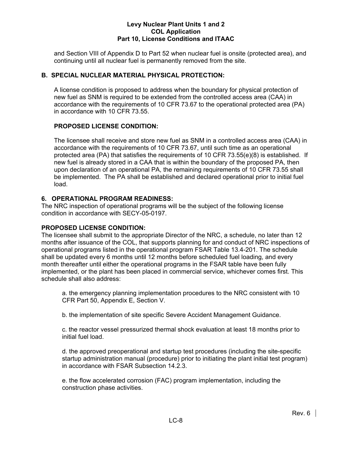and Section VIII of Appendix D to Part 52 when nuclear fuel is onsite (protected area), and continuing until all nuclear fuel is permanently removed from the site.

# **B. SPECIAL NUCLEAR MATERIAL PHYSICAL PROTECTION:**

A license condition is proposed to address when the boundary for physical protection of new fuel as SNM is required to be extended from the controlled access area (CAA) in accordance with the requirements of 10 CFR 73.67 to the operational protected area (PA) in accordance with 10 CFR 73.55.

# **PROPOSED LICENSE CONDITION:**

The licensee shall receive and store new fuel as SNM in a controlled access area (CAA) in accordance with the requirements of 10 CFR 73.67, until such time as an operational protected area (PA) that satisfies the requirements of 10 CFR 73.55(e)(8) is established. If new fuel is already stored in a CAA that is within the boundary of the proposed PA, then upon declaration of an operational PA, the remaining requirements of 10 CFR 73.55 shall be implemented. The PA shall be established and declared operational prior to initial fuel load.

# **6. OPERATIONAL PROGRAM READINESS:**

The NRC inspection of operational programs will be the subject of the following license condition in accordance with SECY-05-0197.

# **PROPOSED LICENSE CONDITION:**

The licensee shall submit to the appropriate Director of the NRC, a schedule, no later than 12 months after issuance of the COL, that supports planning for and conduct of NRC inspections of operational programs listed in the operational program FSAR Table 13.4-201. The schedule shall be updated every 6 months until 12 months before scheduled fuel loading, and every month thereafter until either the operational programs in the FSAR table have been fully implemented, or the plant has been placed in commercial service, whichever comes first. This schedule shall also address:

a. the emergency planning implementation procedures to the NRC consistent with 10 CFR Part 50, Appendix E, Section V.

b. the implementation of site specific Severe Accident Management Guidance.

c. the reactor vessel pressurized thermal shock evaluation at least 18 months prior to initial fuel load.

d. the approved preoperational and startup test procedures (including the site-specific startup administration manual (procedure) prior to initiating the plant initial test program) in accordance with FSAR Subsection 14.2.3.

e. the flow accelerated corrosion (FAC) program implementation, including the construction phase activities.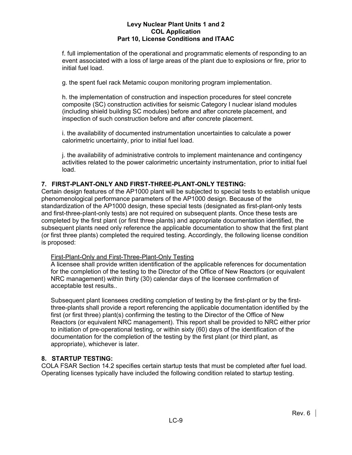f. full implementation of the operational and programmatic elements of responding to an event associated with a loss of large areas of the plant due to explosions or fire, prior to initial fuel load.

g. the spent fuel rack Metamic coupon monitoring program implementation.

h. the implementation of construction and inspection procedures for steel concrete composite (SC) construction activities for seismic Category I nuclear island modules (including shield building SC modules) before and after concrete placement, and inspection of such construction before and after concrete placement.

i. the availability of documented instrumentation uncertainties to calculate a power calorimetric uncertainty, prior to initial fuel load.

j. the availability of administrative controls to implement maintenance and contingency activities related to the power calorimetric uncertainty instrumentation, prior to initial fuel load.

# **7. FIRST-PLANT-ONLY AND FIRST-THREE-PLANT-ONLY TESTING:**

Certain design features of the AP1000 plant will be subjected to special tests to establish unique phenomenological performance parameters of the AP1000 design. Because of the standardization of the AP1000 design, these special tests (designated as first-plant-only tests and first-three-plant-only tests) are not required on subsequent plants. Once these tests are completed by the first plant (or first three plants) and appropriate documentation identified, the subsequent plants need only reference the applicable documentation to show that the first plant (or first three plants) completed the required testing. Accordingly, the following license condition is proposed:

# First-Plant-Only and First-Three-Plant-Only Testing

A licensee shall provide written identification of the applicable references for documentation for the completion of the testing to the Director of the Office of New Reactors (or equivalent NRC management) within thirty (30) calendar days of the licensee confirmation of acceptable test results..

Subsequent plant licensees crediting completion of testing by the first-plant or by the firstthree-plants shall provide a report referencing the applicable documentation identified by the first (or first three) plant(s) confirming the testing to the Director of the Office of New Reactors (or equivalent NRC management). This report shall be provided to NRC either prior to initiation of pre-operational testing, or within sixty (60) days of the identification of the documentation for the completion of the testing by the first plant (or third plant, as appropriate), whichever is later.

# **8. STARTUP TESTING:**

COLA FSAR Section 14.2 specifies certain startup tests that must be completed after fuel load. Operating licenses typically have included the following condition related to startup testing.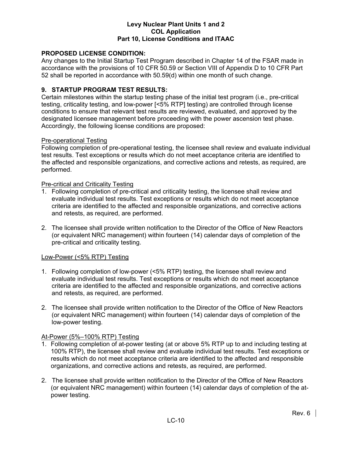# **PROPOSED LICENSE CONDITION:**

Any changes to the Initial Startup Test Program described in Chapter 14 of the FSAR made in accordance with the provisions of 10 CFR 50.59 or Section VIII of Appendix D to 10 CFR Part 52 shall be reported in accordance with 50.59(d) within one month of such change.

# **9. STARTUP PROGRAM TEST RESULTS:**

Certain milestones within the startup testing phase of the initial test program (i.e., pre-critical testing, criticality testing, and low-power [<5% RTP] testing) are controlled through license conditions to ensure that relevant test results are reviewed, evaluated, and approved by the designated licensee management before proceeding with the power ascension test phase. Accordingly, the following license conditions are proposed:

#### Pre-operational Testing

Following completion of pre-operational testing, the licensee shall review and evaluate individual test results. Test exceptions or results which do not meet acceptance criteria are identified to the affected and responsible organizations, and corrective actions and retests, as required, are performed.

#### Pre-critical and Criticality Testing

- 1. Following completion of pre-critical and criticality testing, the licensee shall review and evaluate individual test results. Test exceptions or results which do not meet acceptance criteria are identified to the affected and responsible organizations, and corrective actions and retests, as required, are performed.
- 2. The licensee shall provide written notification to the Director of the Office of New Reactors (or equivalent NRC management) within fourteen (14) calendar days of completion of the pre-critical and criticality testing.

#### Low-Power (<5% RTP) Testing

- 1. Following completion of low-power (<5% RTP) testing, the licensee shall review and evaluate individual test results. Test exceptions or results which do not meet acceptance criteria are identified to the affected and responsible organizations, and corrective actions and retests, as required, are performed.
- 2. The licensee shall provide written notification to the Director of the Office of New Reactors (or equivalent NRC management) within fourteen (14) calendar days of completion of the low-power testing.

# At-Power (5%–100% RTP) Testing

- 1. Following completion of at-power testing (at or above 5% RTP up to and including testing at 100% RTP), the licensee shall review and evaluate individual test results. Test exceptions or results which do not meet acceptance criteria are identified to the affected and responsible organizations, and corrective actions and retests, as required, are performed.
- 2. The licensee shall provide written notification to the Director of the Office of New Reactors (or equivalent NRC management) within fourteen (14) calendar days of completion of the atpower testing.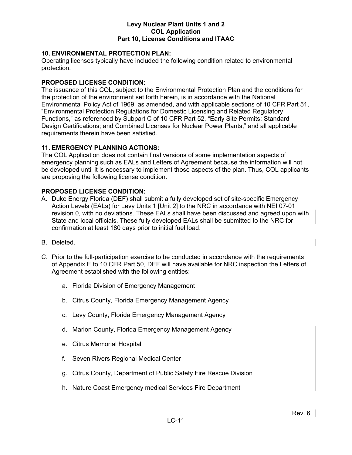# **10. ENVIRONMENTAL PROTECTION PLAN:**

Operating licenses typically have included the following condition related to environmental protection.

# **PROPOSED LICENSE CONDITION:**

The issuance of this COL, subject to the Environmental Protection Plan and the conditions for the protection of the environment set forth herein, is in accordance with the National Environmental Policy Act of 1969, as amended, and with applicable sections of 10 CFR Part 51, "Environmental Protection Regulations for Domestic Licensing and Related Regulatory Functions," as referenced by Subpart C of 10 CFR Part 52, "Early Site Permits; Standard Design Certifications; and Combined Licenses for Nuclear Power Plants," and all applicable requirements therein have been satisfied.

# **11. EMERGENCY PLANNING ACTIONS:**

The COL Application does not contain final versions of some implementation aspects of emergency planning such as EALs and Letters of Agreement because the information will not be developed until it is necessary to implement those aspects of the plan. Thus, COL applicants are proposing the following license condition.

# **PROPOSED LICENSE CONDITION:**

- A. Duke Energy Florida (DEF) shall submit a fully developed set of site-specific Emergency Action Levels (EALs) for Levy Units 1 [Unit 2] to the NRC in accordance with NEI 07-01 revision 0, with no deviations. These EALs shall have been discussed and agreed upon with State and local officials. These fully developed EALs shall be submitted to the NRC for confirmation at least 180 days prior to initial fuel load.
- B. Deleted.
- C. Prior to the full-participation exercise to be conducted in accordance with the requirements of Appendix E to 10 CFR Part 50, DEF will have available for NRC inspection the Letters of Agreement established with the following entities:
	- a. Florida Division of Emergency Management
	- b. Citrus County, Florida Emergency Management Agency
	- c. Levy County, Florida Emergency Management Agency
	- d. Marion County, Florida Emergency Management Agency
	- e. Citrus Memorial Hospital
	- f. Seven Rivers Regional Medical Center
	- g. Citrus County, Department of Public Safety Fire Rescue Division
	- h. Nature Coast Emergency medical Services Fire Department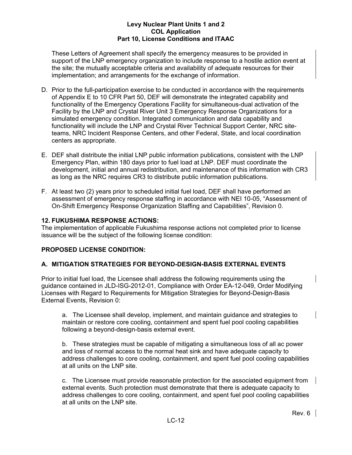These Letters of Agreement shall specify the emergency measures to be provided in support of the LNP emergency organization to include response to a hostile action event at the site; the mutually acceptable criteria and availability of adequate resources for their implementation; and arrangements for the exchange of information.

- D. Prior to the full-participation exercise to be conducted in accordance with the requirements of Appendix E to 10 CFR Part 50, DEF will demonstrate the integrated capability and functionality of the Emergency Operations Facility for simultaneous-dual activation of the Facility by the LNP and Crystal River Unit 3 Emergency Response Organizations for a simulated emergency condition. Integrated communication and data capability and functionality will include the LNP and Crystal River Technical Support Center, NRC siteteams, NRC Incident Response Centers, and other Federal, State, and local coordination centers as appropriate.
- E. DEF shall distribute the initial LNP public information publications, consistent with the LNP Emergency Plan, within 180 days prior to fuel load at LNP. DEF must coordinate the development, initial and annual redistribution, and maintenance of this information with CR3 as long as the NRC requires CR3 to distribute public information publications.
- F. At least two (2) years prior to scheduled initial fuel load, DEF shall have performed an assessment of emergency response staffing in accordance with NEI 10-05, "Assessment of On-Shift Emergency Response Organization Staffing and Capabilities", Revision 0.

# **12. FUKUSHIMA RESPONSE ACTIONS:**

The implementation of applicable Fukushima response actions not completed prior to license issuance will be the subject of the following license condition:

# **PROPOSED LICENSE CONDITION:**

# **A. MITIGATION STRATEGIES FOR BEYOND-DESIGN-BASIS EXTERNAL EVENTS**

Prior to initial fuel load, the Licensee shall address the following requirements using the guidance contained in JLD-ISG-2012-01, Compliance with Order EA-12-049, Order Modifying Licenses with Regard to Requirements for Mitigation Strategies for Beyond-Design-Basis External Events, Revision 0:

a. The Licensee shall develop, implement, and maintain guidance and strategies to maintain or restore core cooling, containment and spent fuel pool cooling capabilities following a beyond-design-basis external event.

b. These strategies must be capable of mitigating a simultaneous loss of all ac power and loss of normal access to the normal heat sink and have adequate capacity to address challenges to core cooling, containment, and spent fuel pool cooling capabilities at all units on the LNP site.

c. The Licensee must provide reasonable protection for the associated equipment from external events. Such protection must demonstrate that there is adequate capacity to address challenges to core cooling, containment, and spent fuel pool cooling capabilities at all units on the LNP site.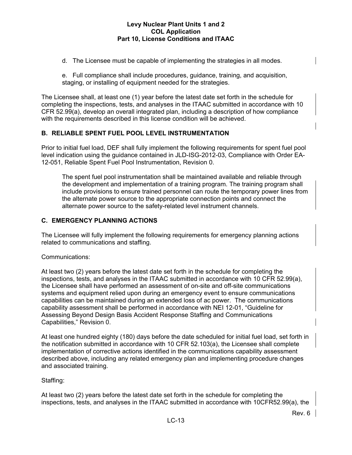- d. The Licensee must be capable of implementing the strategies in all modes.
- e. Full compliance shall include procedures, guidance, training, and acquisition, staging, or installing of equipment needed for the strategies.

The Licensee shall, at least one (1) year before the latest date set forth in the schedule for completing the inspections, tests, and analyses in the ITAAC submitted in accordance with 10 CFR 52.99(a), develop an overall integrated plan, including a description of how compliance with the requirements described in this license condition will be achieved.

# **B. RELIABLE SPENT FUEL POOL LEVEL INSTRUMENTATION**

Prior to initial fuel load, DEF shall fully implement the following requirements for spent fuel pool level indication using the guidance contained in JLD-ISG-2012-03, Compliance with Order EA-12-051, Reliable Spent Fuel Pool Instrumentation, Revision 0.

The spent fuel pool instrumentation shall be maintained available and reliable through the development and implementation of a training program. The training program shall include provisions to ensure trained personnel can route the temporary power lines from the alternate power source to the appropriate connection points and connect the alternate power source to the safety-related level instrument channels.

# **C. EMERGENCY PLANNING ACTIONS**

The Licensee will fully implement the following requirements for emergency planning actions related to communications and staffing.

#### Communications:

At least two (2) years before the latest date set forth in the schedule for completing the inspections, tests, and analyses in the ITAAC submitted in accordance with 10 CFR 52.99(a), the Licensee shall have performed an assessment of on-site and off-site communications systems and equipment relied upon during an emergency event to ensure communications capabilities can be maintained during an extended loss of ac power. The communications capability assessment shall be performed in accordance with NEI 12-01, "Guideline for Assessing Beyond Design Basis Accident Response Staffing and Communications Capabilities," Revision 0.

At least one hundred eighty (180) days before the date scheduled for initial fuel load, set forth in the notification submitted in accordance with 10 CFR 52.103(a), the Licensee shall complete implementation of corrective actions identified in the communications capability assessment described above, including any related emergency plan and implementing procedure changes and associated training.

# Staffing:

At least two (2) years before the latest date set forth in the schedule for completing the inspections, tests, and analyses in the ITAAC submitted in accordance with 10CFR52.99(a), the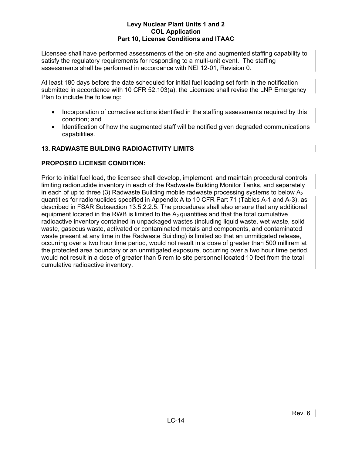Licensee shall have performed assessments of the on-site and augmented staffing capability to satisfy the regulatory requirements for responding to a multi-unit event. The staffing assessments shall be performed in accordance with NEI 12-01, Revision 0.

At least 180 days before the date scheduled for initial fuel loading set forth in the notification submitted in accordance with 10 CFR 52.103(a), the Licensee shall revise the LNP Emergency Plan to include the following:

- Incorporation of corrective actions identified in the staffing assessments required by this condition; and
- Identification of how the augmented staff will be notified given degraded communications capabilities.

# **13. RADWASTE BUILDING RADIOACTIVITY LIMITS**

# **PROPOSED LICENSE CONDITION:**

Prior to initial fuel load, the licensee shall develop, implement, and maintain procedural controls limiting radionuclide inventory in each of the Radwaste Building Monitor Tanks, and separately in each of up to three (3) Radwaste Building mobile radwaste processing systems to below  $A<sub>2</sub>$ quantities for radionuclides specified in Appendix A to 10 CFR Part 71 (Tables A-1 and A-3), as described in FSAR Subsection 13.5.2.2.5. The procedures shall also ensure that any additional equipment located in the RWB is limited to the  $A_2$  quantities and that the total cumulative radioactive inventory contained in unpackaged wastes (including liquid waste, wet waste, solid waste, gaseous waste, activated or contaminated metals and components, and contaminated waste present at any time in the Radwaste Building) is limited so that an unmitigated release, occurring over a two hour time period, would not result in a dose of greater than 500 millirem at the protected area boundary or an unmitigated exposure, occurring over a two hour time period, would not result in a dose of greater than 5 rem to site personnel located 10 feet from the total cumulative radioactive inventory.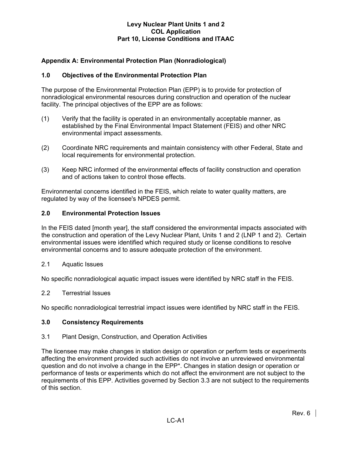# **Appendix A: Environmental Protection Plan (Nonradiological)**

# **1.0 Objectives of the Environmental Protection Plan**

The purpose of the Environmental Protection Plan (EPP) is to provide for protection of nonradiological environmental resources during construction and operation of the nuclear facility. The principal objectives of the EPP are as follows:

- (1) Verify that the facility is operated in an environmentally acceptable manner, as established by the Final Environmental Impact Statement (FEIS) and other NRC environmental impact assessments.
- (2) Coordinate NRC requirements and maintain consistency with other Federal, State and local requirements for environmental protection.
- (3) Keep NRC informed of the environmental effects of facility construction and operation and of actions taken to control those effects.

Environmental concerns identified in the FEIS, which relate to water quality matters, are regulated by way of the licensee's NPDES permit.

#### **2.0 Environmental Protection Issues**

In the FEIS dated [month year], the staff considered the environmental impacts associated with the construction and operation of the Levy Nuclear Plant, Units 1 and 2 (LNP 1 and 2). Certain environmental issues were identified which required study or license conditions to resolve environmental concerns and to assure adequate protection of the environment.

2.1 Aquatic Issues

No specific nonradiological aquatic impact issues were identified by NRC staff in the FEIS.

#### 2.2 Terrestrial Issues

No specific nonradiological terrestrial impact issues were identified by NRC staff in the FEIS.

#### **3.0 Consistency Requirements**

#### 3.1 Plant Design, Construction, and Operation Activities

The licensee may make changes in station design or operation or perform tests or experiments affecting the environment provided such activities do not involve an unreviewed environmental question and do not involve a change in the EPP\*. Changes in station design or operation or performance of tests or experiments which do not affect the environment are not subject to the requirements of this EPP. Activities governed by Section 3.3 are not subject to the requirements of this section.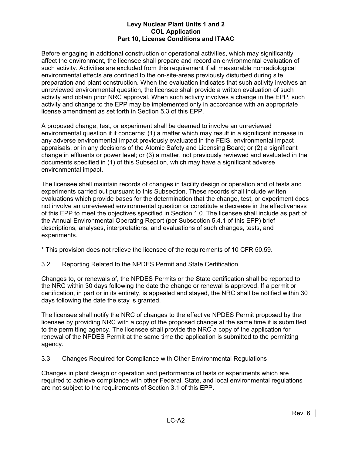Before engaging in additional construction or operational activities, which may significantly affect the environment, the licensee shall prepare and record an environmental evaluation of such activity. Activities are excluded from this requirement if all measurable nonradiological environmental effects are confined to the on-site-areas previously disturbed during site preparation and plant construction. When the evaluation indicates that such activity involves an unreviewed environmental question, the licensee shall provide a written evaluation of such activity and obtain prior NRC approval. When such activity involves a change in the EPP, such activity and change to the EPP may be implemented only in accordance with an appropriate license amendment as set forth in Section 5.3 of this EPP.

A proposed change, test, or experiment shall be deemed to involve an unreviewed environmental question if it concerns: (1) a matter which may result in a significant increase in any adverse environmental impact previously evaluated in the FEIS, environmental impact appraisals, or in any decisions of the Atomic Safety and Licensing Board; or (2) a significant change in effluents or power level; or (3) a matter, not previously reviewed and evaluated in the documents specified in (1) of this Subsection, which may have a significant adverse environmental impact.

The licensee shall maintain records of changes in facility design or operation and of tests and experiments carried out pursuant to this Subsection. These records shall include written evaluations which provide bases for the determination that the change, test, or experiment does not involve an unreviewed environmental question or constitute a decrease in the effectiveness of this EPP to meet the objectives specified in Section 1.0. The licensee shall include as part of the Annual Environmental Operating Report (per Subsection 5.4.1 of this EPP) brief descriptions, analyses, interpretations, and evaluations of such changes, tests, and experiments.

\* This provision does not relieve the licensee of the requirements of 10 CFR 50.59.

3.2 Reporting Related to the NPDES Permit and State Certification

Changes to, or renewals of, the NPDES Permits or the State certification shall be reported to the NRC within 30 days following the date the change or renewal is approved. If a permit or certification, in part or in its entirety, is appealed and stayed, the NRC shall be notified within 30 days following the date the stay is granted.

The licensee shall notify the NRC of changes to the effective NPDES Permit proposed by the licensee by providing NRC with a copy of the proposed change at the same time it is submitted to the permitting agency. The licensee shall provide the NRC a copy of the application for renewal of the NPDES Permit at the same time the application is submitted to the permitting agency.

3.3 Changes Required for Compliance with Other Environmental Regulations

Changes in plant design or operation and performance of tests or experiments which are required to achieve compliance with other Federal, State, and local environmental regulations are not subject to the requirements of Section 3.1 of this EPP.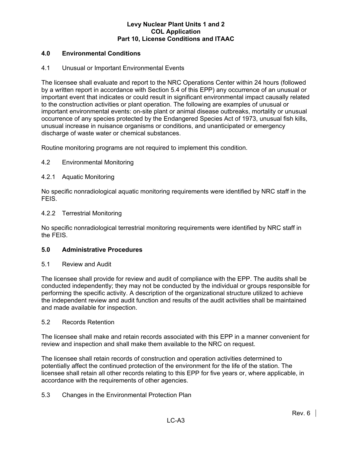# **4.0 Environmental Conditions**

# 4.1 Unusual or Important Environmental Events

The licensee shall evaluate and report to the NRC Operations Center within 24 hours (followed by a written report in accordance with Section 5.4 of this EPP) any occurrence of an unusual or important event that indicates or could result in significant environmental impact causally related to the construction activities or plant operation. The following are examples of unusual or important environmental events: on-site plant or animal disease outbreaks, mortality or unusual occurrence of any species protected by the Endangered Species Act of 1973, unusual fish kills, unusual increase in nuisance organisms or conditions, and unanticipated or emergency discharge of waste water or chemical substances.

Routine monitoring programs are not required to implement this condition.

# 4.2 Environmental Monitoring

# 4.2.1 Aquatic Monitoring

No specific nonradiological aquatic monitoring requirements were identified by NRC staff in the FEIS.

#### 4.2.2 Terrestrial Monitoring

No specific nonradiological terrestrial monitoring requirements were identified by NRC staff in the FEIS.

#### **5.0 Administrative Procedures**

#### 5.1 Review and Audit

The licensee shall provide for review and audit of compliance with the EPP. The audits shall be conducted independently; they may not be conducted by the individual or groups responsible for performing the specific activity. A description of the organizational structure utilized to achieve the independent review and audit function and results of the audit activities shall be maintained and made available for inspection.

#### 5.2 Records Retention

The licensee shall make and retain records associated with this EPP in a manner convenient for review and inspection and shall make them available to the NRC on request.

The licensee shall retain records of construction and operation activities determined to potentially affect the continued protection of the environment for the life of the station. The licensee shall retain all other records relating to this EPP for five years or, where applicable, in accordance with the requirements of other agencies.

# 5.3 Changes in the Environmental Protection Plan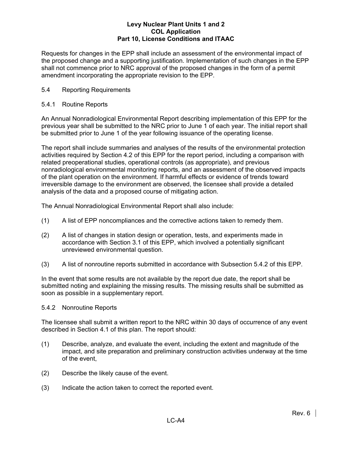Requests for changes in the EPP shall include an assessment of the environmental impact of the proposed change and a supporting justification. Implementation of such changes in the EPP shall not commence prior to NRC approval of the proposed changes in the form of a permit amendment incorporating the appropriate revision to the EPP.

# 5.4 Reporting Requirements

# 5.4.1 Routine Reports

An Annual Nonradiological Environmental Report describing implementation of this EPP for the previous year shall be submitted to the NRC prior to June 1 of each year. The initial report shall be submitted prior to June 1 of the year following issuance of the operating license.

The report shall include summaries and analyses of the results of the environmental protection activities required by Section 4.2 of this EPP for the report period, including a comparison with related preoperational studies, operational controls (as appropriate), and previous nonradiological environmental monitoring reports, and an assessment of the observed impacts of the plant operation on the environment. If harmful effects or evidence of trends toward irreversible damage to the environment are observed, the licensee shall provide a detailed analysis of the data and a proposed course of mitigating action.

The Annual Nonradiological Environmental Report shall also include:

- (1) A list of EPP noncompliances and the corrective actions taken to remedy them.
- (2) A list of changes in station design or operation, tests, and experiments made in accordance with Section 3.1 of this EPP, which involved a potentially significant unreviewed environmental question.
- (3) A list of nonroutine reports submitted in accordance with Subsection 5.4.2 of this EPP.

In the event that some results are not available by the report due date, the report shall be submitted noting and explaining the missing results. The missing results shall be submitted as soon as possible in a supplementary report.

# 5.4.2 Nonroutine Reports

The licensee shall submit a written report to the NRC within 30 days of occurrence of any event described in Section 4.1 of this plan. The report should:

- (1) Describe, analyze, and evaluate the event, including the extent and magnitude of the impact, and site preparation and preliminary construction activities underway at the time of the event,
- (2) Describe the likely cause of the event.
- (3) Indicate the action taken to correct the reported event.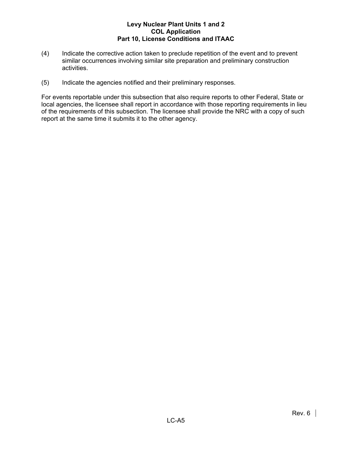- (4) Indicate the corrective action taken to preclude repetition of the event and to prevent similar occurrences involving similar site preparation and preliminary construction activities.
- (5) Indicate the agencies notified and their preliminary responses.

For events reportable under this subsection that also require reports to other Federal, State or local agencies, the licensee shall report in accordance with those reporting requirements in lieu of the requirements of this subsection. The licensee shall provide the NRC with a copy of such report at the same time it submits it to the other agency.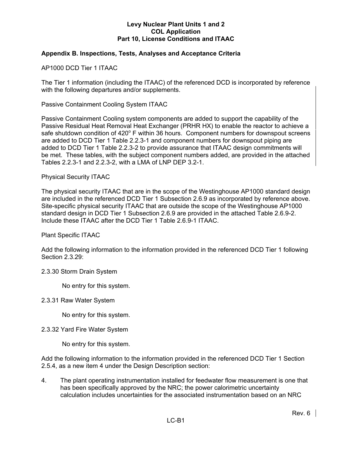# **Appendix B. Inspections, Tests, Analyses and Acceptance Criteria**

AP1000 DCD Tier 1 ITAAC

The Tier 1 information (including the ITAAC) of the referenced DCD is incorporated by reference with the following departures and/or supplements.

Passive Containment Cooling System ITAAC

Passive Containment Cooling system components are added to support the capability of the Passive Residual Heat Removal Heat Exchanger (PRHR HX) to enable the reactor to achieve a safe shutdown condition of 420° F within 36 hours. Component numbers for downspout screens are added to DCD Tier 1 Table 2.2.3-1 and component numbers for downspout piping are added to DCD Tier 1 Table 2.2.3-2 to provide assurance that ITAAC design commitments will be met. These tables, with the subject component numbers added, are provided in the attached Tables 2.2.3-1 and 2.2.3-2, with a LMA of LNP DEP 3.2-1.

#### Physical Security ITAAC

The physical security ITAAC that are in the scope of the Westinghouse AP1000 standard design are included in the referenced DCD Tier 1 Subsection 2.6.9 as incorporated by reference above. Site-specific physical security ITAAC that are outside the scope of the Westinghouse AP1000 standard design in DCD Tier 1 Subsection 2.6.9 are provided in the attached Table 2.6.9-2. Include these ITAAC after the DCD Tier 1 Table 2.6.9-1 ITAAC.

Plant Specific ITAAC

Add the following information to the information provided in the referenced DCD Tier 1 following Section 2.3.29:

#### 2.3.30 Storm Drain System

No entry for this system.

2.3.31 Raw Water System

No entry for this system.

#### 2.3.32 Yard Fire Water System

No entry for this system.

Add the following information to the information provided in the referenced DCD Tier 1 Section 2.5.4, as a new item 4 under the Design Description section:

4. The plant operating instrumentation installed for feedwater flow measurement is one that has been specifically approved by the NRC; the power calorimetric uncertainty calculation includes uncertainties for the associated instrumentation based on an NRC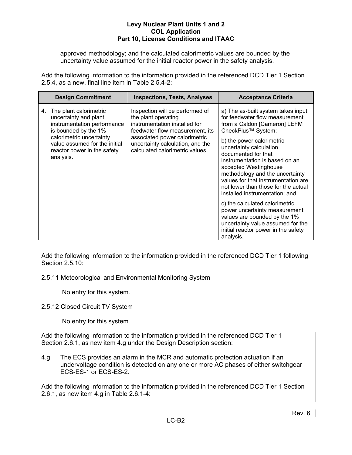approved methodology; and the calculated calorimetric values are bounded by the uncertainty value assumed for the initial reactor power in the safety analysis.

Add the following information to the information provided in the referenced DCD Tier 1 Section 2.5.4, as a new, final line item in Table 2.5.4-2:

|    | <b>Design Commitment</b>                                                                                                                                                                                        | <b>Inspections, Tests, Analyses</b>                                                                                                                                                                                                | <b>Acceptance Criteria</b>                                                                                                                                                                                                                                                                                                                                                                                              |
|----|-----------------------------------------------------------------------------------------------------------------------------------------------------------------------------------------------------------------|------------------------------------------------------------------------------------------------------------------------------------------------------------------------------------------------------------------------------------|-------------------------------------------------------------------------------------------------------------------------------------------------------------------------------------------------------------------------------------------------------------------------------------------------------------------------------------------------------------------------------------------------------------------------|
| 4. | The plant calorimetric<br>uncertainty and plant<br>instrumentation performance<br>is bounded by the 1%<br>calorimetric uncertainty<br>value assumed for the initial<br>reactor power in the safety<br>analysis. | Inspection will be performed of<br>the plant operating<br>instrumentation installed for<br>feedwater flow measurement, its<br>associated power calorimetric<br>uncertainty calculation, and the<br>calculated calorimetric values. | a) The as-built system takes input<br>for feedwater flow measurement<br>from a Caldon [Cameron] LEFM<br>CheckPlus™ System;<br>b) the power calorimetric<br>uncertainty calculation<br>documented for that<br>instrumentation is based on an<br>accepted Westinghouse<br>methodology and the uncertainty<br>values for that instrumentation are<br>not lower than those for the actual<br>installed instrumentation; and |
|    |                                                                                                                                                                                                                 |                                                                                                                                                                                                                                    | c) the calculated calorimetric<br>power uncertainty measurement<br>values are bounded by the 1%<br>uncertainty value assumed for the<br>initial reactor power in the safety<br>analysis.                                                                                                                                                                                                                                |

Add the following information to the information provided in the referenced DCD Tier 1 following Section 2.5.10:

2.5.11 Meteorological and Environmental Monitoring System

No entry for this system.

2.5.12 Closed Circuit TV System

No entry for this system.

Add the following information to the information provided in the referenced DCD Tier 1 Section 2.6.1, as new item 4.g under the Design Description section:

4.g The ECS provides an alarm in the MCR and automatic protection actuation if an undervoltage condition is detected on any one or more AC phases of either switchgear ECS-ES-1 or ECS-ES-2.

Add the following information to the information provided in the referenced DCD Tier 1 Section 2.6.1, as new item 4.g in Table 2.6.1-4: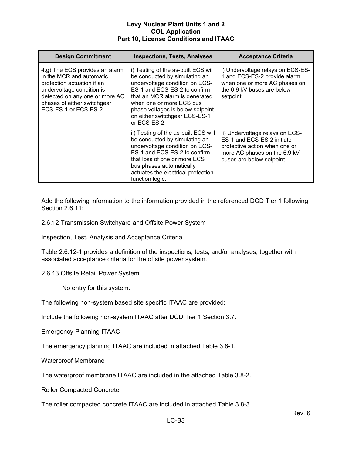| <b>Design Commitment</b>                                                                                                                                                                                        | <b>Inspections, Tests, Analyses</b>                                                                                                                                                                                                                                                       | <b>Acceptance Criteria</b>                                                                                                                                  |
|-----------------------------------------------------------------------------------------------------------------------------------------------------------------------------------------------------------------|-------------------------------------------------------------------------------------------------------------------------------------------------------------------------------------------------------------------------------------------------------------------------------------------|-------------------------------------------------------------------------------------------------------------------------------------------------------------|
| 4.g) The ECS provides an alarm<br>in the MCR and automatic<br>protection actuation if an<br>undervoltage condition is<br>detected on any one or more AC<br>phases of either switchgear<br>ECS-ES-1 or ECS-ES-2. | i) Testing of the as-built ECS will<br>be conducted by simulating an<br>undervoltage condition on ECS-<br>ES-1 and ECS-ES-2 to confirm<br>that an MCR alarm is generated<br>when one or more ECS bus<br>phase voltages is below setpoint<br>on either switchgear ECS-ES-1<br>or ECS-ES-2. | i) Undervoltage relays on ECS-ES-<br>1 and ECS-ES-2 provide alarm<br>when one or more AC phases on<br>the 6.9 kV buses are below<br>setpoint.               |
|                                                                                                                                                                                                                 | ii) Testing of the as-built ECS will<br>be conducted by simulating an<br>undervoltage condition on ECS-<br>ES-1 and ECS-ES-2 to confirm<br>that loss of one or more ECS<br>bus phases automatically<br>actuates the electrical protection<br>function logic.                              | ii) Undervoltage relays on ECS-<br>ES-1 and ECS-ES-2 initiate<br>protective action when one or<br>more AC phases on the 6.9 kV<br>buses are below setpoint. |

Add the following information to the information provided in the referenced DCD Tier 1 following Section 2.6.11:

2.6.12 Transmission Switchyard and Offsite Power System

Inspection, Test, Analysis and Acceptance Criteria

Table 2.6.12-1 provides a definition of the inspections, tests, and/or analyses, together with associated acceptance criteria for the offsite power system.

2.6.13 Offsite Retail Power System

No entry for this system.

The following non-system based site specific ITAAC are provided:

Include the following non-system ITAAC after DCD Tier 1 Section 3.7.

Emergency Planning ITAAC

The emergency planning ITAAC are included in attached Table 3.8-1.

Waterproof Membrane

The waterproof membrane ITAAC are included in the attached Table 3.8-2.

Roller Compacted Concrete

The roller compacted concrete ITAAC are included in attached Table 3.8-3.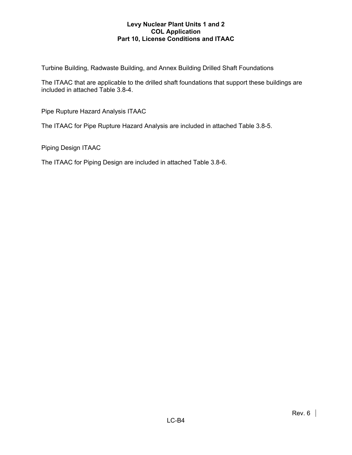Turbine Building, Radwaste Building, and Annex Building Drilled Shaft Foundations

The ITAAC that are applicable to the drilled shaft foundations that support these buildings are included in attached Table 3.8-4.

Pipe Rupture Hazard Analysis ITAAC

The ITAAC for Pipe Rupture Hazard Analysis are included in attached Table 3.8-5.

Piping Design ITAAC

The ITAAC for Piping Design are included in attached Table 3.8-6.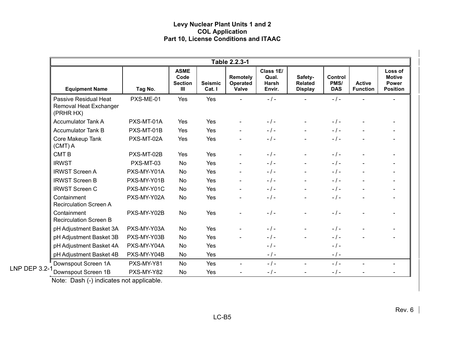|                                                              |             |                                                         |                          | Table 2.2.3-1                        |                                       |                                             |                                      |                                  |                                                             |
|--------------------------------------------------------------|-------------|---------------------------------------------------------|--------------------------|--------------------------------------|---------------------------------------|---------------------------------------------|--------------------------------------|----------------------------------|-------------------------------------------------------------|
| <b>Equipment Name</b>                                        | Tag No.     | <b>ASME</b><br>Code<br><b>Section</b><br>$\mathbf{III}$ | <b>Seismic</b><br>Cat. I | Remotely<br><b>Operated</b><br>Valve | Class 1E/<br>Qual.<br>Harsh<br>Envir. | Safety-<br><b>Related</b><br><b>Display</b> | <b>Control</b><br>PMS/<br><b>DAS</b> | <b>Active</b><br><b>Function</b> | Loss of<br><b>Motive</b><br><b>Power</b><br><b>Position</b> |
| Passive Residual Heat<br>Removal Heat Exchanger<br>(PRHR HX) | PXS-ME-01   | Yes                                                     | Yes                      |                                      | $-$ / $-$                             |                                             | $-1-$                                |                                  |                                                             |
| <b>Accumulator Tank A</b>                                    | PXS-MT-01A  | Yes                                                     | Yes                      |                                      | $-1 -$                                |                                             | $-1-$                                |                                  |                                                             |
| <b>Accumulator Tank B</b>                                    | PXS-MT-01B  | Yes                                                     | Yes                      |                                      | $-1-$                                 |                                             | $-1-$                                |                                  |                                                             |
| Core Makeup Tank<br>$(CMT)$ A                                | PXS-MT-02A  | Yes                                                     | Yes                      |                                      | $-1-$                                 | $\blacksquare$                              | $-1-$                                |                                  | $\overline{\phantom{a}}$                                    |
| <b>CMTB</b>                                                  | PXS-MT-02B  | Yes                                                     | Yes                      |                                      | $-$ / $-$                             |                                             | $-1-$                                |                                  |                                                             |
| <b>IRWST</b>                                                 | PXS-MT-03   | <b>No</b>                                               | Yes                      |                                      | $-1-$                                 | $\blacksquare$                              | $-1-$                                | $\overline{a}$                   |                                                             |
| <b>IRWST Screen A</b>                                        | PXS-MY-Y01A | No                                                      | Yes                      |                                      | $-1-$                                 | $\blacksquare$                              | $-1-$                                |                                  | $\overline{\phantom{a}}$                                    |
| <b>IRWST Screen B</b>                                        | PXS-MY-Y01B | No                                                      | Yes                      |                                      | $-1 -$                                | $\blacksquare$                              | $-1-$                                | $\overline{a}$                   | $\blacksquare$                                              |
| <b>IRWST Screen C</b>                                        | PXS-MY-Y01C | No                                                      | Yes                      |                                      | $-$ / $-$                             |                                             | $-1-$                                |                                  |                                                             |
| Containment<br><b>Recirculation Screen A</b>                 | PXS-MY-Y02A | No                                                      | Yes                      |                                      | $-1 -$                                |                                             | $-1-$                                |                                  |                                                             |
| Containment<br><b>Recirculation Screen B</b>                 | PXS-MY-Y02B | No                                                      | Yes                      |                                      | $-$ / $-$                             |                                             | $-1-$                                |                                  |                                                             |
| pH Adjustment Basket 3A                                      | PXS-MY-Y03A | No                                                      | Yes                      |                                      | $-$ / $-$                             |                                             | $-1-$                                |                                  |                                                             |
| pH Adjustment Basket 3B                                      | PXS-MY-Y03B | No                                                      | Yes                      |                                      | $-1 -$                                |                                             | $-1-$                                |                                  |                                                             |
| pH Adjustment Basket 4A                                      | PXS-MY-Y04A | No                                                      | Yes                      |                                      | $-1 -$                                |                                             | $-1-$                                |                                  |                                                             |
| pH Adjustment Basket 4B                                      | PXS-MY-Y04B | No                                                      | Yes                      |                                      | $-$ / $-$                             |                                             | $-1-$                                |                                  |                                                             |
| Downspout Screen 1A                                          | PXS-MY-Y81  | No                                                      | Yes                      | $\blacksquare$                       | $-1 -$                                | $\blacksquare$                              | $-1-$                                |                                  | $\blacksquare$                                              |
| LNP DEP 3.2-<br>Downspout Screen 1B                          | PXS-MY-Y82  | No                                                      | Yes                      |                                      | $-$ / $-$                             |                                             | $-1-$                                |                                  |                                                             |

Note: Dash (-) indicates not applicable.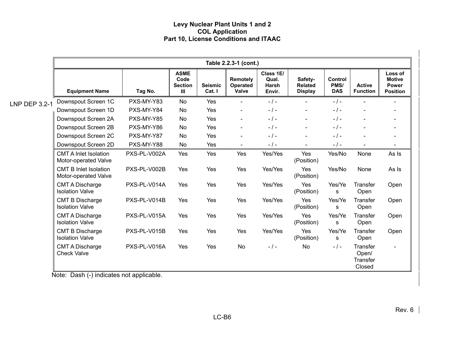|                      | Table 2.2.3-1 (cont.)                                |              |                                            |                          |                                      |                                              |                                             |                                      |                                         |                                                      |
|----------------------|------------------------------------------------------|--------------|--------------------------------------------|--------------------------|--------------------------------------|----------------------------------------------|---------------------------------------------|--------------------------------------|-----------------------------------------|------------------------------------------------------|
|                      | <b>Equipment Name</b>                                | Tag No.      | <b>ASME</b><br>Code<br><b>Section</b><br>Ш | <b>Seismic</b><br>Cat. I | Remotely<br><b>Operated</b><br>Valve | Class 1E/<br>Qual.<br><b>Harsh</b><br>Envir. | Safety-<br><b>Related</b><br><b>Display</b> | <b>Control</b><br>PMS/<br><b>DAS</b> | <b>Active</b><br><b>Function</b>        | Loss of<br><b>Motive</b><br>Power<br><b>Position</b> |
| <b>LNP DEP 3.2-1</b> | Downspout Screen 1C                                  | PXS-MY-Y83   | <b>No</b>                                  | Yes                      | $\overline{a}$                       | $-$ / $-$                                    | $\blacksquare$                              | $-$ / $-$                            |                                         |                                                      |
|                      | Downspout Screen 1D                                  | PXS-MY-Y84   | No                                         | Yes                      | $\blacksquare$                       | $-1-$                                        | $\sim$                                      | $-$ / $-$                            | $\blacksquare$                          | $\overline{\phantom{a}}$                             |
|                      | Downspout Screen 2A                                  | PXS-MY-Y85   | No                                         | Yes                      | $\blacksquare$                       | $-1-$                                        | $\blacksquare$                              | $-1-$                                |                                         | $\blacksquare$                                       |
|                      | Downspout Screen 2B                                  | PXS-MY-Y86   | No                                         | Yes                      | $\blacksquare$                       | $-1-$                                        | $\blacksquare$                              | $-1-$                                |                                         | $\blacksquare$                                       |
|                      | Downspout Screen 2C                                  | PXS-MY-Y87   | No                                         | Yes                      | $\blacksquare$                       | $-$ / $-$                                    |                                             | $-$ / $-$                            |                                         | $\blacksquare$                                       |
|                      | Downspout Screen 2D                                  | PXS-MY-Y88   | No                                         | Yes                      | $\blacksquare$                       | $-$ / $-$                                    |                                             | $-$ / $-$                            |                                         |                                                      |
|                      | <b>CMT A Inlet Isolation</b><br>Motor-operated Valve | PXS-PL-V002A | Yes                                        | Yes                      | Yes                                  | Yes/Yes                                      | Yes<br>(Position)                           | Yes/No                               | None                                    | As Is                                                |
|                      | <b>CMT B Inlet Isolation</b><br>Motor-operated Valve | PXS-PL-V002B | Yes                                        | Yes                      | Yes                                  | Yes/Yes                                      | Yes<br>(Position)                           | Yes/No                               | None                                    | As Is                                                |
|                      | <b>CMT A Discharge</b><br><b>Isolation Valve</b>     | PXS-PL-V014A | Yes                                        | Yes                      | Yes                                  | Yes/Yes                                      | Yes<br>(Position)                           | Yes/Ye<br>S                          | <b>Transfer</b><br>Open                 | Open                                                 |
|                      | <b>CMT B Discharge</b><br><b>Isolation Valve</b>     | PXS-PL-V014B | Yes                                        | Yes                      | Yes                                  | Yes/Yes                                      | Yes<br>(Position)                           | Yes/Ye<br>s                          | Transfer<br>Open                        | Open                                                 |
|                      | <b>CMT A Discharge</b><br><b>Isolation Valve</b>     | PXS-PL-V015A | Yes                                        | Yes                      | Yes                                  | Yes/Yes                                      | Yes<br>(Position)                           | Yes/Ye<br>s                          | Transfer<br>Open                        | Open                                                 |
|                      | <b>CMT B Discharge</b><br><b>Isolation Valve</b>     | PXS-PL-V015B | Yes                                        | Yes                      | Yes                                  | Yes/Yes                                      | Yes<br>(Position)                           | Yes/Ye<br>s                          | Transfer<br>Open                        | Open                                                 |
|                      | <b>CMT A Discharge</b><br><b>Check Valve</b>         | PXS-PL-V016A | Yes                                        | Yes                      | No                                   | $-$ / $-$                                    | <b>No</b>                                   | $-1-$                                | Transfer<br>Open/<br>Transfer<br>Closed | $\overline{\phantom{0}}$                             |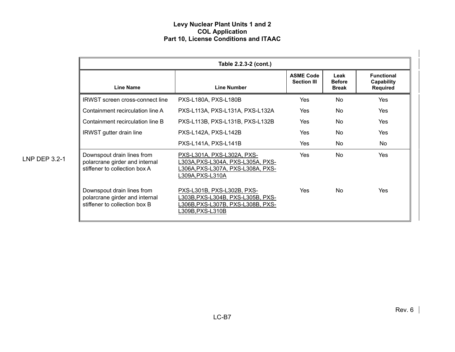|               |                                                                                               | Table 2.2.3-2 (cont.)                                                                                                          |                                        |                                       |                                             |
|---------------|-----------------------------------------------------------------------------------------------|--------------------------------------------------------------------------------------------------------------------------------|----------------------------------------|---------------------------------------|---------------------------------------------|
|               | <b>Line Name</b>                                                                              | <b>Line Number</b>                                                                                                             | <b>ASME Code</b><br><b>Section III</b> | Leak<br><b>Before</b><br><b>Break</b> | <b>Functional</b><br>Capability<br>Required |
|               | <b>IRWST</b> screen cross-connect line                                                        | PXS-L180A, PXS-L180B                                                                                                           | <b>Yes</b>                             | <b>No</b>                             | <b>Yes</b>                                  |
|               | Containment recirculation line A                                                              | PXS-L113A, PXS-L131A, PXS-L132A                                                                                                | Yes                                    | No.                                   | <b>Yes</b>                                  |
|               | Containment recirculation line B                                                              | PXS-L113B, PXS-L131B, PXS-L132B                                                                                                | Yes                                    | No                                    | Yes                                         |
|               | <b>IRWST</b> gutter drain line                                                                | PXS-L142A, PXS-L142B                                                                                                           | Yes                                    | No.                                   | Yes                                         |
|               |                                                                                               | PXS-L141A, PXS-L141B                                                                                                           | Yes                                    | No.                                   | No                                          |
| LNP DEP 3.2-1 | Downspout drain lines from<br>polarcrane girder and internal<br>stiffener to collection box A | PXS-L301A, PXS-L302A, PXS-<br>L303A, PXS-L304A, PXS-L305A, PXS-<br>L306A, PXS-L307A, PXS-L308A, PXS-<br>L309A, PXS-L310A       | <b>Yes</b>                             | No.                                   | <b>Yes</b>                                  |
|               | Downspout drain lines from<br>polarcrane girder and internal<br>stiffener to collection box B | PXS-L301B, PXS-L302B, PXS-<br>L303B, PXS-L304B, PXS-L305B, PXS-<br><u>L306B, PXS-L307B, PXS-L308B, PXS-</u><br>L309B,PXS-L310B | <b>Yes</b>                             | No.                                   | <b>Yes</b>                                  |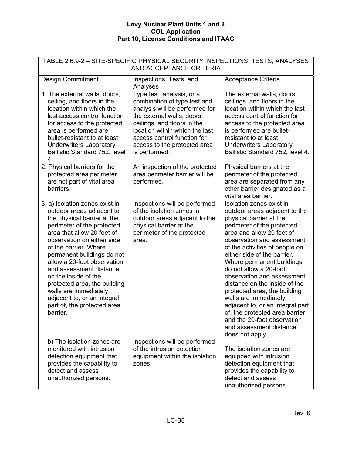| TABLE 2.6.9-2 - SITE-SPECIFIC PHYSICAL SECURITY INSPECTIONS, TESTS, ANALYSES<br>AND ACCEPTANCE CRITERIA                                                                                                                                                                                                                                                                                                                                                          |                                                                                                                                                                                                                                                                            |                                                                                                                                                                                                                                                                                                                                                                                                                                                                                                                                                                                  |  |  |  |  |
|------------------------------------------------------------------------------------------------------------------------------------------------------------------------------------------------------------------------------------------------------------------------------------------------------------------------------------------------------------------------------------------------------------------------------------------------------------------|----------------------------------------------------------------------------------------------------------------------------------------------------------------------------------------------------------------------------------------------------------------------------|----------------------------------------------------------------------------------------------------------------------------------------------------------------------------------------------------------------------------------------------------------------------------------------------------------------------------------------------------------------------------------------------------------------------------------------------------------------------------------------------------------------------------------------------------------------------------------|--|--|--|--|
| <b>Design Commitment</b>                                                                                                                                                                                                                                                                                                                                                                                                                                         | Inspections, Tests, and<br>Analyses                                                                                                                                                                                                                                        | Acceptance Criteria                                                                                                                                                                                                                                                                                                                                                                                                                                                                                                                                                              |  |  |  |  |
| 1. The external walls, doors,<br>ceiling, and floors in the<br>location within which the<br>last access control function<br>for access to the protected<br>area is performed are<br>bullet-resistant to at least<br><b>Underwriters Laboratory</b><br>Ballistic Standard 752, level<br>4.                                                                                                                                                                        | Type test, analysis, or a<br>combination of type test and<br>analysis will be performed for<br>the external walls, doors,<br>ceilings, and floors in the<br>location within which the last<br>access control function for<br>access to the protected area<br>is performed. | The external walls, doors,<br>ceilings, and floors in the<br>location within which the last<br>access control function for<br>access to the protected area<br>is performed are bullet-<br>resistant to at least<br><b>Underwriters Laboratory</b><br>Ballistic Standard 752, level 4.                                                                                                                                                                                                                                                                                            |  |  |  |  |
| 2. Physical barriers for the<br>protected area perimeter<br>are not part of vital area<br>barriers.                                                                                                                                                                                                                                                                                                                                                              | An inspection of the protected<br>area perimeter barrier will be<br>performed.                                                                                                                                                                                             | Physical barriers at the<br>perimeter of the protected<br>area are separated from any<br>other barrier designated as a<br>vital area barrier.                                                                                                                                                                                                                                                                                                                                                                                                                                    |  |  |  |  |
| 3. a) Isolation zones exist in<br>outdoor areas adjacent to<br>the physical barrier at the<br>perimeter of the protected<br>area that allow 20 feet of<br>observation on either side<br>of the barrier. Where<br>permanent buildings do not<br>allow a 20-foot observation<br>and assessment distance<br>on the inside of the<br>protected area, the building<br>walls are immediately<br>adjacent to, or an integral<br>part of, the protected area<br>barrier. | Inspections will be performed<br>of the isolation zones in<br>outdoor areas adjacent to the<br>physical barrier at the<br>perimeter of the protected<br>area.                                                                                                              | Isolation zones exist in<br>outdoor areas adjacent to the<br>physical barrier at the<br>perimeter of the protected<br>area and allow 20 feet of<br>observation and assessment<br>of the activities of people on<br>either side of the barrier.<br>Where permanent buildings<br>do not allow a 20-foot<br>observation and assessment<br>distance on the inside of the<br>protected area, the building<br>walls are immediately<br>adjacent to, or an integral part<br>of, the protected area barrier<br>and the 20-foot observation<br>and assessment distance<br>does not apply. |  |  |  |  |
| b) The isolation zones are<br>monitored with intrusion<br>detection equipment that<br>provides the capability to<br>detect and assess<br>unauthorized persons.                                                                                                                                                                                                                                                                                                   | Inspections will be performed<br>of the intrusion detection<br>equipment within the isolation<br>zones.                                                                                                                                                                    | The isolation zones are<br>equipped with intrusion<br>detection equipment that<br>provides the capability to<br>detect and assess<br>unauthorized persons.                                                                                                                                                                                                                                                                                                                                                                                                                       |  |  |  |  |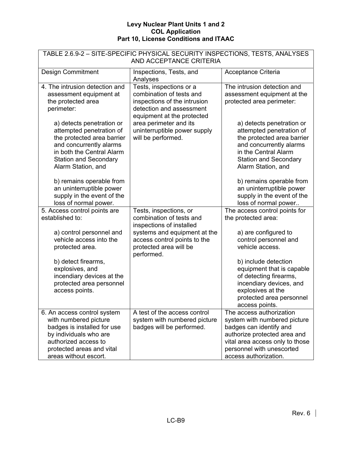| TABLE 2.6.9-2 - SITE-SPECIFIC PHYSICAL SECURITY INSPECTIONS, TESTS, ANALYSES<br>AND ACCEPTANCE CRITERIA                                                                                           |                                                                                                                                               |                                                                                                                                                                                                              |  |  |  |
|---------------------------------------------------------------------------------------------------------------------------------------------------------------------------------------------------|-----------------------------------------------------------------------------------------------------------------------------------------------|--------------------------------------------------------------------------------------------------------------------------------------------------------------------------------------------------------------|--|--|--|
| <b>Design Commitment</b>                                                                                                                                                                          | Inspections, Tests, and<br>Analyses                                                                                                           | Acceptance Criteria                                                                                                                                                                                          |  |  |  |
| 4. The intrusion detection and<br>assessment equipment at<br>the protected area<br>perimeter:                                                                                                     | Tests, inspections or a<br>combination of tests and<br>inspections of the intrusion<br>detection and assessment<br>equipment at the protected | The intrusion detection and<br>assessment equipment at the<br>protected area perimeter:                                                                                                                      |  |  |  |
| a) detects penetration or<br>attempted penetration of<br>the protected area barrier<br>and concurrently alarms<br>in both the Central Alarm<br><b>Station and Secondary</b><br>Alarm Station, and | area perimeter and its<br>uninterruptible power supply<br>will be performed.                                                                  | a) detects penetration or<br>attempted penetration of<br>the protected area barrier<br>and concurrently alarms<br>in the Central Alarm<br><b>Station and Secondary</b><br>Alarm Station, and                 |  |  |  |
| b) remains operable from<br>an uninterruptible power<br>supply in the event of the<br>loss of normal power.                                                                                       |                                                                                                                                               | b) remains operable from<br>an uninterruptible power<br>supply in the event of the<br>loss of normal power                                                                                                   |  |  |  |
| 5. Access control points are<br>established to:                                                                                                                                                   | Tests, inspections, or<br>combination of tests and<br>inspections of installed                                                                | The access control points for<br>the protected area:                                                                                                                                                         |  |  |  |
| a) control personnel and<br>vehicle access into the<br>protected area.                                                                                                                            | systems and equipment at the<br>access control points to the<br>protected area will be<br>performed.                                          | a) are configured to<br>control personnel and<br>vehicle access.                                                                                                                                             |  |  |  |
| b) detect firearms,<br>explosives, and<br>incendiary devices at the<br>protected area personnel<br>access points.                                                                                 |                                                                                                                                               | b) include detection<br>equipment that is capable<br>of detecting firearms,<br>incendiary devices, and<br>explosives at the<br>protected area personnel<br>access points.                                    |  |  |  |
| 6. An access control system<br>with numbered picture<br>badges is installed for use<br>by individuals who are<br>authorized access to<br>protected areas and vital<br>areas without escort.       | A test of the access control<br>system with numbered picture<br>badges will be performed.                                                     | The access authorization<br>system with numbered picture<br>badges can identify and<br>authorize protected area and<br>vital area access only to those<br>personnel with unescorted<br>access authorization. |  |  |  |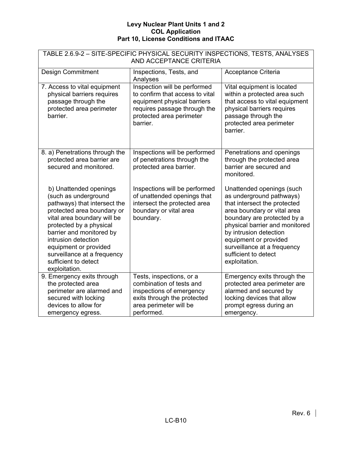| TABLE 2.6.9-2 - SITE-SPECIFIC PHYSICAL SECURITY INSPECTIONS, TESTS, ANALYSES<br>AND ACCEPTANCE CRITERIA                                                                                                                                                                                                                    |                                                                                                                                                                        |                                                                                                                                                                                                                                                                                                                  |  |  |  |  |
|----------------------------------------------------------------------------------------------------------------------------------------------------------------------------------------------------------------------------------------------------------------------------------------------------------------------------|------------------------------------------------------------------------------------------------------------------------------------------------------------------------|------------------------------------------------------------------------------------------------------------------------------------------------------------------------------------------------------------------------------------------------------------------------------------------------------------------|--|--|--|--|
| <b>Design Commitment</b>                                                                                                                                                                                                                                                                                                   | Inspections, Tests, and<br>Analyses                                                                                                                                    | Acceptance Criteria                                                                                                                                                                                                                                                                                              |  |  |  |  |
| 7. Access to vital equipment<br>physical barriers requires<br>passage through the<br>protected area perimeter<br>barrier.                                                                                                                                                                                                  | Inspection will be performed<br>to confirm that access to vital<br>equipment physical barriers<br>requires passage through the<br>protected area perimeter<br>barrier. | Vital equipment is located<br>within a protected area such<br>that access to vital equipment<br>physical barriers requires<br>passage through the<br>protected area perimeter<br>barrier.                                                                                                                        |  |  |  |  |
| 8. a) Penetrations through the<br>protected area barrier are<br>secured and monitored.                                                                                                                                                                                                                                     | Inspections will be performed<br>of penetrations through the<br>protected area barrier.                                                                                | Penetrations and openings<br>through the protected area<br>barrier are secured and<br>monitored.                                                                                                                                                                                                                 |  |  |  |  |
| b) Unattended openings<br>(such as underground<br>pathways) that intersect the<br>protected area boundary or<br>vital area boundary will be<br>protected by a physical<br>barrier and monitored by<br>intrusion detection<br>equipment or provided<br>surveillance at a frequency<br>sufficient to detect<br>exploitation. | Inspections will be performed<br>of unattended openings that<br>intersect the protected area<br>boundary or vital area<br>boundary.                                    | Unattended openings (such<br>as underground pathways)<br>that intersect the protected<br>area boundary or vital area<br>boundary are protected by a<br>physical barrier and monitored<br>by intrusion detection<br>equipment or provided<br>surveillance at a frequency<br>sufficient to detect<br>exploitation. |  |  |  |  |
| 9. Emergency exits through<br>the protected area<br>perimeter are alarmed and<br>secured with locking<br>devices to allow for<br>emergency egress.                                                                                                                                                                         | Tests, inspections, or a<br>combination of tests and<br>inspections of emergency<br>exits through the protected<br>area perimeter will be<br>performed.                | Emergency exits through the<br>protected area perimeter are<br>alarmed and secured by<br>locking devices that allow<br>prompt egress during an<br>emergency.                                                                                                                                                     |  |  |  |  |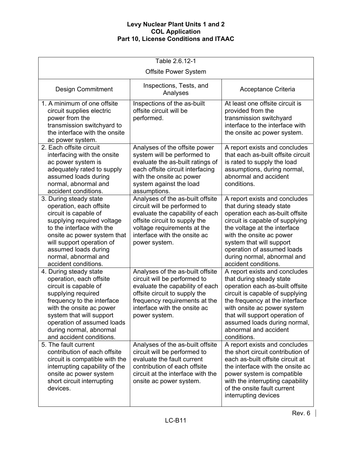| Table 2.6.12-1                                                                                                                                                                                                                                                              |                                                                                                                                                                                                                        |                                                                                                                                                                                                                                                                                                              |  |
|-----------------------------------------------------------------------------------------------------------------------------------------------------------------------------------------------------------------------------------------------------------------------------|------------------------------------------------------------------------------------------------------------------------------------------------------------------------------------------------------------------------|--------------------------------------------------------------------------------------------------------------------------------------------------------------------------------------------------------------------------------------------------------------------------------------------------------------|--|
|                                                                                                                                                                                                                                                                             | <b>Offsite Power System</b>                                                                                                                                                                                            |                                                                                                                                                                                                                                                                                                              |  |
| <b>Design Commitment</b>                                                                                                                                                                                                                                                    | Inspections, Tests, and<br>Analyses                                                                                                                                                                                    | Acceptance Criteria                                                                                                                                                                                                                                                                                          |  |
| 1. A minimum of one offsite<br>circuit supplies electric<br>power from the<br>transmission switchyard to<br>the interface with the onsite<br>ac power system.                                                                                                               | Inspections of the as-built<br>offsite circuit will be<br>performed.                                                                                                                                                   | At least one offsite circuit is<br>provided from the<br>transmission switchyard<br>interface to the interface with<br>the onsite ac power system.                                                                                                                                                            |  |
| 2. Each offsite circuit<br>interfacing with the onsite<br>ac power system is<br>adequately rated to supply<br>assumed loads during<br>normal, abnormal and<br>accident conditions.                                                                                          | Analyses of the offsite power<br>system will be performed to<br>evaluate the as-built ratings of<br>each offsite circuit interfacing<br>with the onsite ac power<br>system against the load<br>assumptions.            | A report exists and concludes<br>that each as-built offsite circuit<br>is rated to supply the load<br>assumptions, during normal,<br>abnormal and accident<br>conditions.                                                                                                                                    |  |
| 3. During steady state<br>operation, each offsite<br>circuit is capable of<br>supplying required voltage<br>to the interface with the<br>onsite ac power system that<br>will support operation of<br>assumed loads during<br>normal, abnormal and<br>accident conditions.   | Analyses of the as-built offsite<br>circuit will be performed to<br>evaluate the capability of each<br>offsite circuit to supply the<br>voltage requirements at the<br>interface with the onsite ac<br>power system.   | A report exists and concludes<br>that during steady state<br>operation each as-built offsite<br>circuit is capable of supplying<br>the voltage at the interface<br>with the onsite ac power<br>system that will support<br>operation of assumed loads<br>during normal, abnormal and<br>accident conditions. |  |
| 4. During steady state<br>operation, each offsite<br>circuit is capable of<br>supplying required<br>frequency to the interface<br>with the onsite ac power<br>system that will support<br>operation of assumed loads<br>during normal, abnormal<br>and accident conditions. | Analyses of the as-built offsite<br>circuit will be performed to<br>evaluate the capability of each<br>offsite circuit to supply the<br>frequency requirements at the<br>interface with the onsite ac<br>power system. | A report exists and concludes<br>that during steady state<br>operation each as-built offsite<br>circuit is capable of supplying<br>the frequency at the interface<br>with onsite ac power system<br>that will support operation of<br>assumed loads during normal,<br>abnormal and accident<br>conditions.   |  |
| 5. The fault current<br>contribution of each offsite<br>circuit is compatible with the<br>interrupting capability of the<br>onsite ac power system<br>short circuit interrupting<br>devices.                                                                                | Analyses of the as-built offsite<br>circuit will be performed to<br>evaluate the fault current<br>contribution of each offsite<br>circuit at the interface with the<br>onsite ac power system.                         | A report exists and concludes<br>the short circuit contribution of<br>each as-built offsite circuit at<br>the interface with the onsite ac<br>power system is compatible<br>with the interrupting capability<br>of the onsite fault current<br>interrupting devices                                          |  |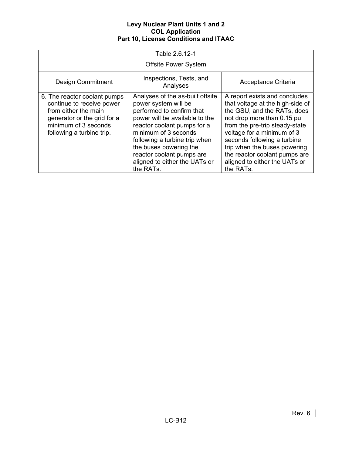| Table 2.6.12-1                                                                                                                                                        |                                                                                                                                                                                                                                                                                                                      |                                                                                                                                                                                                                                                                                                                                              |  |
|-----------------------------------------------------------------------------------------------------------------------------------------------------------------------|----------------------------------------------------------------------------------------------------------------------------------------------------------------------------------------------------------------------------------------------------------------------------------------------------------------------|----------------------------------------------------------------------------------------------------------------------------------------------------------------------------------------------------------------------------------------------------------------------------------------------------------------------------------------------|--|
|                                                                                                                                                                       | <b>Offsite Power System</b>                                                                                                                                                                                                                                                                                          |                                                                                                                                                                                                                                                                                                                                              |  |
| <b>Design Commitment</b>                                                                                                                                              | Inspections, Tests, and<br>Analyses                                                                                                                                                                                                                                                                                  | Acceptance Criteria                                                                                                                                                                                                                                                                                                                          |  |
| 6. The reactor coolant pumps<br>continue to receive power<br>from either the main<br>generator or the grid for a<br>minimum of 3 seconds<br>following a turbine trip. | Analyses of the as-built offsite<br>power system will be<br>performed to confirm that<br>power will be available to the<br>reactor coolant pumps for a<br>minimum of 3 seconds<br>following a turbine trip when<br>the buses powering the<br>reactor coolant pumps are<br>aligned to either the UATs or<br>the RATs. | A report exists and concludes<br>that voltage at the high-side of<br>the GSU, and the RATs, does<br>not drop more than 0.15 pu<br>from the pre-trip steady-state<br>voltage for a minimum of 3<br>seconds following a turbine<br>trip when the buses powering<br>the reactor coolant pumps are<br>aligned to either the UATs or<br>the RATs. |  |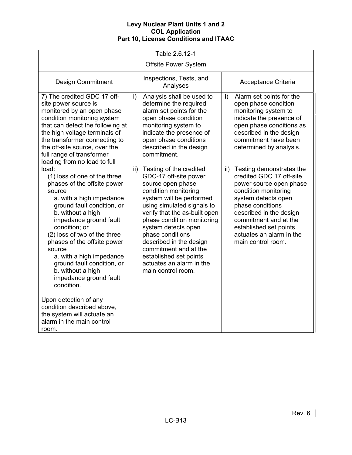| Table 2.6.12-1                                                                                                                                                                                                                                                                                                                                                                                                                                                                                                             |                                                                                                                                                                                                                                                                                                                                                                        |                                                                                                                                                                                                                                                         |  |  |
|----------------------------------------------------------------------------------------------------------------------------------------------------------------------------------------------------------------------------------------------------------------------------------------------------------------------------------------------------------------------------------------------------------------------------------------------------------------------------------------------------------------------------|------------------------------------------------------------------------------------------------------------------------------------------------------------------------------------------------------------------------------------------------------------------------------------------------------------------------------------------------------------------------|---------------------------------------------------------------------------------------------------------------------------------------------------------------------------------------------------------------------------------------------------------|--|--|
| <b>Offsite Power System</b>                                                                                                                                                                                                                                                                                                                                                                                                                                                                                                |                                                                                                                                                                                                                                                                                                                                                                        |                                                                                                                                                                                                                                                         |  |  |
| <b>Design Commitment</b>                                                                                                                                                                                                                                                                                                                                                                                                                                                                                                   | Inspections, Tests, and<br>Analyses                                                                                                                                                                                                                                                                                                                                    | Acceptance Criteria                                                                                                                                                                                                                                     |  |  |
| 7) The credited GDC 17 off-<br>site power source is<br>monitored by an open phase<br>condition monitoring system<br>that can detect the following at<br>the high voltage terminals of<br>the transformer connecting to<br>the off-site source, over the<br>full range of transformer<br>loading from no load to full<br>load:                                                                                                                                                                                              | Analysis shall be used to<br>$\mathsf{i}$<br>determine the required<br>alarm set points for the<br>open phase condition<br>monitoring system to<br>indicate the presence of<br>open phase conditions<br>described in the design<br>commitment.<br>$\mathsf{ii}$<br>Testing of the credited                                                                             | Alarm set points for the<br>i)<br>open phase condition<br>monitoring system to<br>indicate the presence of<br>open phase conditions as<br>described in the design<br>commitment have been<br>determined by analysis.<br>Testing demonstrates the<br>ii) |  |  |
| (1) loss of one of the three<br>phases of the offsite power<br>source<br>a. with a high impedance<br>ground fault condition, or<br>b. without a high<br>impedance ground fault<br>condition; or<br>(2) loss of two of the three<br>phases of the offsite power<br>source<br>a. with a high impedance<br>ground fault condition, or<br>b. without a high<br>impedance ground fault<br>condition.<br>Upon detection of any<br>condition described above,<br>the system will actuate an<br>alarm in the main control<br>room. | GDC-17 off-site power<br>source open phase<br>condition monitoring<br>system will be performed<br>using simulated signals to<br>verify that the as-built open<br>phase condition monitoring<br>system detects open<br>phase conditions<br>described in the design<br>commitment and at the<br>established set points<br>actuates an alarm in the<br>main control room. | credited GDC 17 off-site<br>power source open phase<br>condition monitoring<br>system detects open<br>phase conditions<br>described in the design<br>commitment and at the<br>established set points<br>actuates an alarm in the<br>main control room.  |  |  |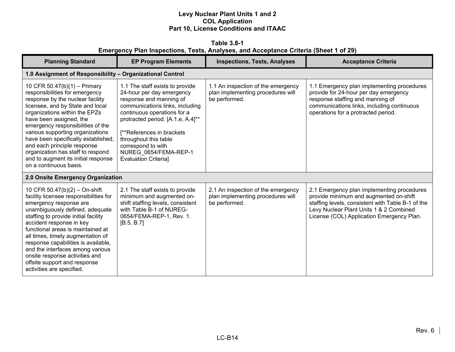**Table 3.8-1 Emergency Plan Inspections, Tests, Analyses, and Acceptance Criteria (Sheet 1 of 29)** 

| <b>Planning Standard</b>                                                                                                                                                                                                                                                                                                                                                                                                                                     | <b>EP Program Elements</b>                                                                                                                                                                                                                                                                                                          | <b>Inspections, Tests, Analyses</b>                                                      | <b>Acceptance Criteria</b>                                                                                                                                                                                                        |
|--------------------------------------------------------------------------------------------------------------------------------------------------------------------------------------------------------------------------------------------------------------------------------------------------------------------------------------------------------------------------------------------------------------------------------------------------------------|-------------------------------------------------------------------------------------------------------------------------------------------------------------------------------------------------------------------------------------------------------------------------------------------------------------------------------------|------------------------------------------------------------------------------------------|-----------------------------------------------------------------------------------------------------------------------------------------------------------------------------------------------------------------------------------|
| 1.0 Assignment of Responsibility - Organizational Control                                                                                                                                                                                                                                                                                                                                                                                                    |                                                                                                                                                                                                                                                                                                                                     |                                                                                          |                                                                                                                                                                                                                                   |
| 10 CFR 50.47(b)(1) - Primary<br>responsibilities for emergency<br>response by the nuclear facility<br>licensee, and by State and local<br>organizations within the EPZs<br>have been assigned, the<br>emergency responsibilities of the<br>various supporting organizations<br>have been specifically established,<br>and each principle response<br>organization has staff to respond<br>and to augment its initial response<br>on a continuous basis.      | 1.1 The staff exists to provide<br>24-hour per day emergency<br>response and manning of<br>communications links, including<br>continuous operations for a<br>protracted period. [A.1.e, A.4]**<br>[**References in brackets]<br>throughout this table<br>correspond to with<br>NUREG 0654/FEMA-REP-1<br><b>Evaluation Criterial</b> | 1.1 An inspection of the emergency<br>plan implementing procedures will<br>be performed. | 1.1 Emergency plan implementing procedures<br>provide for 24-hour per day emergency<br>response staffing and manning of<br>communications links, including continuous<br>operations for a protracted period.                      |
| 2.0 Onsite Emergency Organization                                                                                                                                                                                                                                                                                                                                                                                                                            |                                                                                                                                                                                                                                                                                                                                     |                                                                                          |                                                                                                                                                                                                                                   |
| 10 CFR 50.47(b)(2) - On-shift<br>facility licensee responsibilities for<br>emergency response are<br>unambiguously defined, adequate<br>staffing to provide initial facility<br>accident response in key<br>functional areas is maintained at<br>all times, timely augmentation of<br>response capabilities is available,<br>and the interfaces among various<br>onsite response activities and<br>offsite support and response<br>activities are specified. | 2.1 The staff exists to provide<br>minimum and augmented on-<br>shift staffing levels, consistent<br>with Table B-1 of NUREG-<br>0654/FEMA-REP-1, Rev. 1.<br>[B.5, B.7]                                                                                                                                                             | 2.1 An inspection of the emergency<br>plan implementing procedures will<br>be performed. | 2.1 Emergency plan implementing procedures<br>provide minimum and augmented on-shift<br>staffing levels, consistent with Table B-1 of the<br>Levy Nuclear Plant Units 1 & 2 Combined<br>License (COL) Application Emergency Plan. |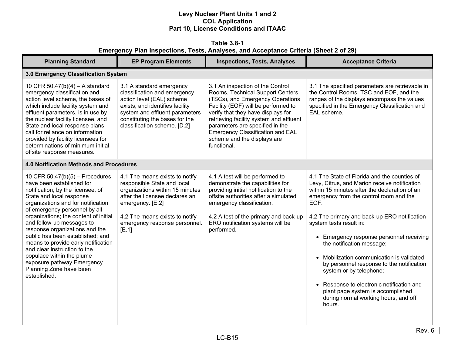**Table 3.8-1 Emergency Plan Inspections, Tests, Analyses, and Acceptance Criteria (Sheet 2 of 29)** 

| <b>Planning Standard</b>                                                                                                                                                                                                                                                                                                                                                                                                                                                                                                        | <b>EP Program Elements</b>                                                                                                                                                                                                         | <b>Inspections, Tests, Analyses</b>                                                                                                                                                                                                                                                                                                                   | <b>Acceptance Criteria</b>                                                                                                                                                                                                                                                                                                                                                                                                                                                                                                                                                                                     |
|---------------------------------------------------------------------------------------------------------------------------------------------------------------------------------------------------------------------------------------------------------------------------------------------------------------------------------------------------------------------------------------------------------------------------------------------------------------------------------------------------------------------------------|------------------------------------------------------------------------------------------------------------------------------------------------------------------------------------------------------------------------------------|-------------------------------------------------------------------------------------------------------------------------------------------------------------------------------------------------------------------------------------------------------------------------------------------------------------------------------------------------------|----------------------------------------------------------------------------------------------------------------------------------------------------------------------------------------------------------------------------------------------------------------------------------------------------------------------------------------------------------------------------------------------------------------------------------------------------------------------------------------------------------------------------------------------------------------------------------------------------------------|
| 3.0 Emergency Classification System                                                                                                                                                                                                                                                                                                                                                                                                                                                                                             |                                                                                                                                                                                                                                    |                                                                                                                                                                                                                                                                                                                                                       |                                                                                                                                                                                                                                                                                                                                                                                                                                                                                                                                                                                                                |
| 10 CFR 50.47(b)(4) - A standard<br>emergency classification and<br>action level scheme, the bases of<br>which include facility system and<br>effluent parameters, is in use by<br>the nuclear facility licensee, and<br>State and local response plans<br>call for reliance on information<br>provided by facility licensees for<br>determinations of minimum initial<br>offsite response measures.                                                                                                                             | 3.1 A standard emergency<br>classification and emergency<br>action level (EAL) scheme<br>exists, and identifies facility<br>system and effluent parameters<br>constituting the bases for the<br>classification scheme. [D.2]       | 3.1 An inspection of the Control<br>Rooms, Technical Support Centers<br>(TSCs), and Emergency Operations<br>Facility (EOF) will be performed to<br>verify that they have displays for<br>retrieving facility system and effluent<br>parameters are specified in the<br>Emergency Classification and EAL<br>scheme and the displays are<br>functional. | 3.1 The specified parameters are retrievable in<br>the Control Rooms, TSC and EOF, and the<br>ranges of the displays encompass the values<br>specified in the Emergency Classification and<br>EAL scheme.                                                                                                                                                                                                                                                                                                                                                                                                      |
| 4.0 Notification Methods and Procedures                                                                                                                                                                                                                                                                                                                                                                                                                                                                                         |                                                                                                                                                                                                                                    |                                                                                                                                                                                                                                                                                                                                                       |                                                                                                                                                                                                                                                                                                                                                                                                                                                                                                                                                                                                                |
| 10 CFR $50.47(b)(5)$ – Procedures<br>have been established for<br>notification, by the licensee, of<br>State and local response<br>organizations and for notification<br>of emergency personnel by all<br>organizations; the content of initial<br>and follow-up messages to<br>response organizations and the<br>public has been established; and<br>means to provide early notification<br>and clear instruction to the<br>populace within the plume<br>exposure pathway Emergency<br>Planning Zone have been<br>established. | 4.1 The means exists to notify<br>responsible State and local<br>organizations within 15 minutes<br>after the licensee declares an<br>emergency. [E.2]<br>4.2 The means exists to notify<br>emergency response personnel.<br>[E.1] | 4.1 A test will be performed to<br>demonstrate the capabilities for<br>providing initial notification to the<br>offsite authorities after a simulated<br>emergency classification.<br>4.2 A test of the primary and back-up<br>ERO notification systems will be<br>performed.                                                                         | 4.1 The State of Florida and the counties of<br>Levy, Citrus, and Marion receive notification<br>within 15 minutes after the declaration of an<br>emergency from the control room and the<br>EOF.<br>4.2 The primary and back-up ERO notification<br>system tests result in:<br>• Emergency response personnel receiving<br>the notification message;<br>• Mobilization communication is validated<br>by personnel response to the notification<br>system or by telephone;<br>• Response to electronic notification and<br>plant page system is accomplished<br>during normal working hours, and off<br>hours. |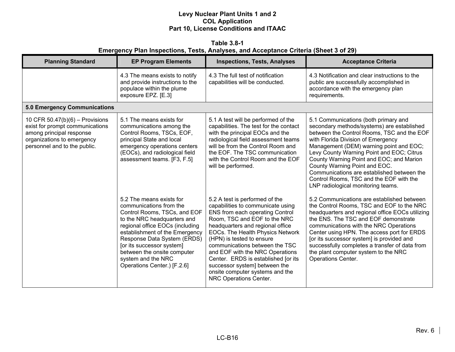**Table 3.8-1 Emergency Plan Inspections, Tests, Analyses, and Acceptance Criteria (Sheet 3 of 29)** 

| <b>Planning Standard</b>                                                                                                                                       | <b>EP Program Elements</b>                                                                                                                                                                                                                                                                                                              | <b>Inspections, Tests, Analyses</b>                                                                                                                                                                                                                                                                                                                                                                                                                   | <b>Acceptance Criteria</b>                                                                                                                                                                                                                                                                                                                                                                                                                                                 |
|----------------------------------------------------------------------------------------------------------------------------------------------------------------|-----------------------------------------------------------------------------------------------------------------------------------------------------------------------------------------------------------------------------------------------------------------------------------------------------------------------------------------|-------------------------------------------------------------------------------------------------------------------------------------------------------------------------------------------------------------------------------------------------------------------------------------------------------------------------------------------------------------------------------------------------------------------------------------------------------|----------------------------------------------------------------------------------------------------------------------------------------------------------------------------------------------------------------------------------------------------------------------------------------------------------------------------------------------------------------------------------------------------------------------------------------------------------------------------|
|                                                                                                                                                                | 4.3 The means exists to notify<br>and provide instructions to the<br>populace within the plume<br>exposure EPZ. [E.3]                                                                                                                                                                                                                   | 4.3 The full test of notification<br>capabilities will be conducted.                                                                                                                                                                                                                                                                                                                                                                                  | 4.3 Notification and clear instructions to the<br>public are successfully accomplished in<br>accordance with the emergency plan<br>requirements.                                                                                                                                                                                                                                                                                                                           |
| <b>5.0 Emergency Communications</b>                                                                                                                            |                                                                                                                                                                                                                                                                                                                                         |                                                                                                                                                                                                                                                                                                                                                                                                                                                       |                                                                                                                                                                                                                                                                                                                                                                                                                                                                            |
| 10 CFR $50.47(b)(6)$ – Provisions<br>exist for prompt communications<br>among principal response<br>organizations to emergency<br>personnel and to the public. | 5.1 The means exists for<br>communications among the<br>Control Rooms, TSCs, EOF,<br>principal State and local<br>emergency operations centers<br>(EOCs), and radiological field<br>assessment teams. [F3, F.5]                                                                                                                         | 5.1 A test will be performed of the<br>capabilities. The test for the contact<br>with the principal EOCs and the<br>radiological field assessment teams<br>will be from the Control Room and<br>the EOF. The TSC communication<br>with the Control Room and the EOF<br>will be performed.                                                                                                                                                             | 5.1 Communications (both primary and<br>secondary methods/systems) are established<br>between the Control Rooms, TSC and the EOF<br>with Florida Division of Emergency<br>Management (DEM) warning point and EOC;<br>Levy County Warning Point and EOC; Citrus<br>County Warning Point and EOC; and Marion<br>County Warning Point and EOC.<br>Communications are established between the<br>Control Rooms, TSC and the EOF with the<br>LNP radiological monitoring teams. |
|                                                                                                                                                                | 5.2 The means exists for<br>communications from the<br>Control Rooms, TSCs, and EOF<br>to the NRC headquarters and<br>regional office EOCs (including<br>establishment of the Emergency<br>Response Data System (ERDS)<br>[or its successor system]<br>between the onsite computer<br>system and the NRC<br>Operations Center.) [F.2.6] | 5.2 A test is performed of the<br>capabilities to communicate using<br>ENS from each operating Control<br>Room, TSC and EOF to the NRC<br>headquarters and regional office<br>EOCs. The Health Physics Network<br>(HPN) is tested to ensure<br>communications between the TSC<br>and EOF with the NRC Operations<br>Center. ERDS is established [or its<br>successor system] between the<br>onsite computer systems and the<br>NRC Operations Center. | 5.2 Communications are established between<br>the Control Rooms, TSC and EOF to the NRC<br>headquarters and regional office EOCs utilizing<br>the ENS. The TSC and EOF demonstrate<br>communications with the NRC Operations<br>Center using HPN. The access port for ERDS<br>[or its successor system] is provided and<br>successfully completes a transfer of data from<br>the plant computer system to the NRC<br>Operations Center.                                    |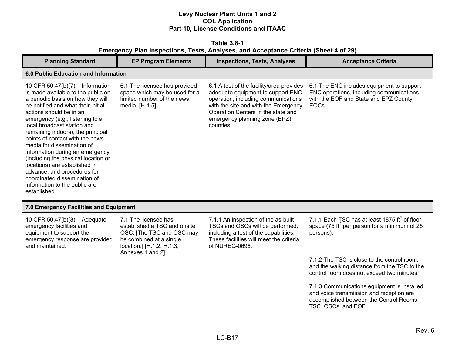**Table 3.8-1 Emergency Plan Inspections, Tests, Analyses, and Acceptance Criteria (Sheet 4 of 29)** 

| <b>Planning Standard</b>                                                                                                                                                                                                                                                                                                                                                                                                                                                                                                                                                        | <b>EP Program Elements</b>                                                                                                                                    | <b>Inspections, Tests, Analyses</b>                                                                                                                                                                                                              | <b>Acceptance Criteria</b>                                                                                                                                 |  |
|---------------------------------------------------------------------------------------------------------------------------------------------------------------------------------------------------------------------------------------------------------------------------------------------------------------------------------------------------------------------------------------------------------------------------------------------------------------------------------------------------------------------------------------------------------------------------------|---------------------------------------------------------------------------------------------------------------------------------------------------------------|--------------------------------------------------------------------------------------------------------------------------------------------------------------------------------------------------------------------------------------------------|------------------------------------------------------------------------------------------------------------------------------------------------------------|--|
|                                                                                                                                                                                                                                                                                                                                                                                                                                                                                                                                                                                 | 6.0 Public Education and Information                                                                                                                          |                                                                                                                                                                                                                                                  |                                                                                                                                                            |  |
| 10 CFR 50.47(b)(7) – Information<br>is made available to the public on<br>a periodic basis on how they will<br>be notified and what their initial<br>actions should be in an<br>emergency (e.g., listening to a<br>local broadcast station and<br>remaining indoors), the principal<br>points of contact with the news<br>media for dissemination of<br>information during an emergency<br>(including the physical location or<br>locations) are established in<br>advance, and procedures for<br>coordinated dissemination of<br>information to the public are<br>established. | 6.1 The licensee has provided<br>space which may be used for a<br>limited number of the news<br>media. [H.1.5]                                                | 6.1 A test of the facility/area provides<br>adequate equipment to support ENC<br>operation, including communications<br>with the site and with the Emergency<br>Operation Centers in the state and<br>emergency planning zone (EPZ)<br>counties. | 6.1 The ENC includes equipment to support<br>ENC operations, including communications<br>with the EOF and State and EPZ County<br>EOC <sub>s</sub> .       |  |
| 7.0 Emergency Facilities and Equipment                                                                                                                                                                                                                                                                                                                                                                                                                                                                                                                                          |                                                                                                                                                               |                                                                                                                                                                                                                                                  |                                                                                                                                                            |  |
| 10 CFR 50.47(b)(8) - Adequate<br>emergency facilities and<br>equipment to support the<br>emergency response are provided<br>and maintained.                                                                                                                                                                                                                                                                                                                                                                                                                                     | 7.1 The licensee has<br>established a TSC and onsite<br>OSC. [The TSC and OSC may<br>be combined at a single<br>location.] [H.1.2, H.1.3,<br>Annexes 1 and 2] | 7.1.1 An inspection of the as-built<br>TSCs and OSCs will be performed,<br>including a test of the capabilities.<br>These facilities will meet the criteria<br>of NUREG-0696.                                                                    | 7.1.1 Each TSC has at least 1875 $\text{ft}^2$ of floor<br>space (75 ft <sup>2</sup> per person for a minimum of 25<br>persons).                           |  |
|                                                                                                                                                                                                                                                                                                                                                                                                                                                                                                                                                                                 |                                                                                                                                                               |                                                                                                                                                                                                                                                  | 7.1.2 The TSC is close to the control room,<br>and the walking distance from the TSC to the<br>control room does not exceed two minutes.                   |  |
|                                                                                                                                                                                                                                                                                                                                                                                                                                                                                                                                                                                 |                                                                                                                                                               |                                                                                                                                                                                                                                                  | 7.1.3 Communications equipment is installed,<br>and voice transmission and reception are<br>accomplished between the Control Rooms,<br>TSC, OSCs, and EOF. |  |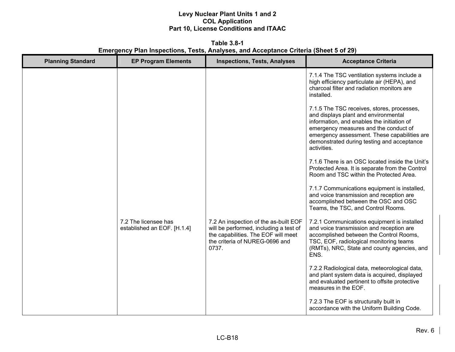**Table 3.8-1 Emergency Plan Inspections, Tests, Analyses, and Acceptance Criteria (Sheet 5 of 29)** 

| <b>Planning Standard</b> | <b>EP Program Elements</b>                          | <b>Inspections, Tests, Analyses</b>                                                                                                                               | <b>Acceptance Criteria</b>                                                                                                                                                                                                                                                             |
|--------------------------|-----------------------------------------------------|-------------------------------------------------------------------------------------------------------------------------------------------------------------------|----------------------------------------------------------------------------------------------------------------------------------------------------------------------------------------------------------------------------------------------------------------------------------------|
|                          |                                                     |                                                                                                                                                                   | 7.1.4 The TSC ventilation systems include a<br>high efficiency particulate air (HEPA), and<br>charcoal filter and radiation monitors are<br>installed.                                                                                                                                 |
|                          |                                                     |                                                                                                                                                                   | 7.1.5 The TSC receives, stores, processes,<br>and displays plant and environmental<br>information, and enables the initiation of<br>emergency measures and the conduct of<br>emergency assessment. These capabilities are<br>demonstrated during testing and acceptance<br>activities. |
|                          |                                                     |                                                                                                                                                                   | 7.1.6 There is an OSC located inside the Unit's<br>Protected Area. It is separate from the Control<br>Room and TSC within the Protected Area.                                                                                                                                          |
|                          |                                                     |                                                                                                                                                                   | 7.1.7 Communications equipment is installed,<br>and voice transmission and reception are<br>accomplished between the OSC and OSC<br>Teams, the TSC, and Control Rooms.                                                                                                                 |
|                          | 7.2 The licensee has<br>established an EOF. [H.1.4] | 7.2 An inspection of the as-built EOF<br>will be performed, including a test of<br>the capabilities. The EOF will meet<br>the criteria of NUREG-0696 and<br>0737. | 7.2.1 Communications equipment is installed<br>and voice transmission and reception are<br>accomplished between the Control Rooms,<br>TSC, EOF, radiological monitoring teams<br>(RMTs), NRC, State and county agencies, and<br>ENS.                                                   |
|                          |                                                     |                                                                                                                                                                   | 7.2.2 Radiological data, meteorological data,<br>and plant system data is acquired, displayed<br>and evaluated pertinent to offsite protective<br>measures in the EOF.                                                                                                                 |
|                          |                                                     |                                                                                                                                                                   | 7.2.3 The EOF is structurally built in<br>accordance with the Uniform Building Code.                                                                                                                                                                                                   |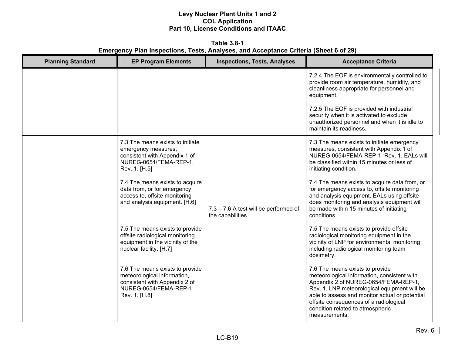**Table 3.8-1 Emergency Plan Inspections, Tests, Analyses, and Acceptance Criteria (Sheet 6 of 29)** 

| <b>Planning Standard</b> | <b>EP Program Elements</b>                                                                                                                 | <b>Inspections, Tests, Analyses</b>                        | <b>Acceptance Criteria</b>                                                                                                                                                                                                                                                                                              |
|--------------------------|--------------------------------------------------------------------------------------------------------------------------------------------|------------------------------------------------------------|-------------------------------------------------------------------------------------------------------------------------------------------------------------------------------------------------------------------------------------------------------------------------------------------------------------------------|
|                          |                                                                                                                                            |                                                            | 7.2.4 The EOF is environmentally controlled to<br>provide room air temperature, humidity, and<br>cleanliness appropriate for personnel and<br>equipment.                                                                                                                                                                |
|                          |                                                                                                                                            |                                                            | 7.2.5 The EOF is provided with industrial<br>security when it is activated to exclude<br>unauthorized personnel and when it is idle to<br>maintain its readiness.                                                                                                                                                       |
|                          | 7.3 The means exists to initiate<br>emergency measures,<br>consistent with Appendix 1 of<br>NUREG-0654/FEMA-REP-1,<br>Rev. 1. [H.5]        |                                                            | 7.3 The means exists to initiate emergency<br>measures, consistent with Appendix 1 of<br>NUREG-0654/FEMA-REP-1, Rev. 1. EALs will<br>be classified within 15 minutes or less of<br>initiating condition.                                                                                                                |
|                          | 7.4 The means exists to acquire<br>data from, or for emergency<br>access to, offsite monitoring<br>and analysis equipment. [H.6]           | 7.3 - 7.6 A test will be performed of<br>the capabilities. | 7.4 The means exists to acquire data from, or<br>for emergency access to, offsite monitoring<br>and analysis equipment. EALs using offsite<br>does monitoring and analysis equipment will<br>be made within 15 minutes of initiating<br>conditions.                                                                     |
|                          | 7.5 The means exists to provide<br>offsite radiological monitoring<br>equipment in the vicinity of the<br>nuclear facility. [H.7]          |                                                            | 7.5 The means exists to provide offsite<br>radiological monitoring equipment in the<br>vicinity of LNP for environmental monitoring<br>including radiological monitoring team<br>dosimetry.                                                                                                                             |
|                          | 7.6 The means exists to provide<br>meteorological information,<br>consistent with Appendix 2 of<br>NUREG-0654/FEMA-REP-1,<br>Rev. 1. [H.8] |                                                            | 7.6 The means exists to provide<br>meteorological information, consistent with<br>Appendix 2 of NUREG-0654/FEMA-REP-1,<br>Rev. 1. LNP meteorological equipment will be<br>able to assess and monitor actual or potential<br>offsite consequences of a radiological<br>condition related to atmospheric<br>measurements. |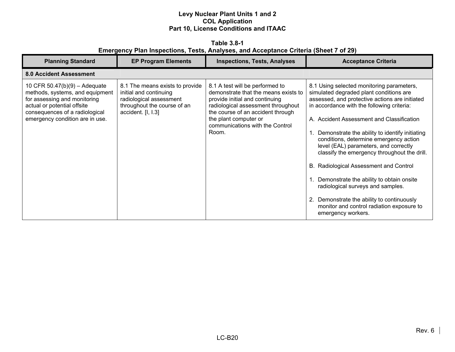**Table 3.8-1 Emergency Plan Inspections, Tests, Analyses, and Acceptance Criteria (Sheet 7 of 29)** 

| <b>Planning Standard</b>                                                                                                                                                                               | <b>EP Program Elements</b>                                                                                                                | <b>Inspections, Tests, Analyses</b>                                                                                                                                                                                                                       | <b>Acceptance Criteria</b>                                                                                                                                                                                                                                                                                                                                                                                                                                                                                                                                                                                                                                         |
|--------------------------------------------------------------------------------------------------------------------------------------------------------------------------------------------------------|-------------------------------------------------------------------------------------------------------------------------------------------|-----------------------------------------------------------------------------------------------------------------------------------------------------------------------------------------------------------------------------------------------------------|--------------------------------------------------------------------------------------------------------------------------------------------------------------------------------------------------------------------------------------------------------------------------------------------------------------------------------------------------------------------------------------------------------------------------------------------------------------------------------------------------------------------------------------------------------------------------------------------------------------------------------------------------------------------|
| <b>8.0 Accident Assessment</b>                                                                                                                                                                         |                                                                                                                                           |                                                                                                                                                                                                                                                           |                                                                                                                                                                                                                                                                                                                                                                                                                                                                                                                                                                                                                                                                    |
| 10 CFR $50.47(b)(9) -$ Adequate<br>methods, systems, and equipment<br>for assessing and monitoring<br>actual or potential offsite<br>consequences of a radiological<br>emergency condition are in use. | 8.1 The means exists to provide<br>initial and continuing<br>radiological assessment<br>throughout the course of an<br>accident. [I, I.3] | 8.1 A test will be performed to<br>demonstrate that the means exists to<br>provide initial and continuing<br>radiological assessment throughout<br>the course of an accident through<br>the plant computer or<br>communications with the Control<br>Room. | 8.1 Using selected monitoring parameters,<br>simulated degraded plant conditions are<br>assessed, and protective actions are initiated<br>in accordance with the following criteria:<br>A. Accident Assessment and Classification<br>Demonstrate the ability to identify initiating<br>conditions, determine emergency action<br>level (EAL) parameters, and correctly<br>classify the emergency throughout the drill.<br>B. Radiological Assessment and Control<br>Demonstrate the ability to obtain onsite<br>radiological surveys and samples.<br>2. Demonstrate the ability to continuously<br>monitor and control radiation exposure to<br>emergency workers. |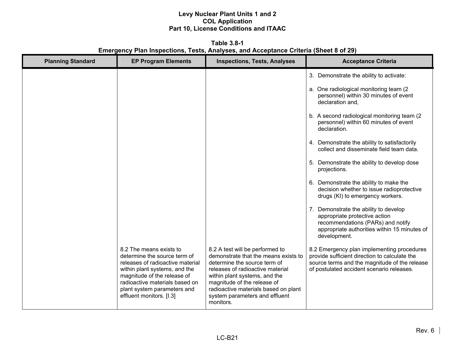**Table 3.8-1 Emergency Plan Inspections, Tests, Analyses, and Acceptance Criteria (Sheet 8 of 29)** 

| <b>Planning Standard</b> | <b>EP Program Elements</b>                                                                                                                                                                                                                               | <b>Inspections, Tests, Analyses</b>                                                                                                                                                                                                                                                                | <b>Acceptance Criteria</b>                                                                                                                                                                |
|--------------------------|----------------------------------------------------------------------------------------------------------------------------------------------------------------------------------------------------------------------------------------------------------|----------------------------------------------------------------------------------------------------------------------------------------------------------------------------------------------------------------------------------------------------------------------------------------------------|-------------------------------------------------------------------------------------------------------------------------------------------------------------------------------------------|
|                          |                                                                                                                                                                                                                                                          |                                                                                                                                                                                                                                                                                                    | 3. Demonstrate the ability to activate:                                                                                                                                                   |
|                          |                                                                                                                                                                                                                                                          |                                                                                                                                                                                                                                                                                                    | a. One radiological monitoring team (2)<br>personnel) within 30 minutes of event<br>declaration and,                                                                                      |
|                          |                                                                                                                                                                                                                                                          |                                                                                                                                                                                                                                                                                                    | b. A second radiological monitoring team (2)<br>personnel) within 60 minutes of event<br>declaration.                                                                                     |
|                          |                                                                                                                                                                                                                                                          |                                                                                                                                                                                                                                                                                                    | 4. Demonstrate the ability to satisfactorily<br>collect and disseminate field team data.                                                                                                  |
|                          |                                                                                                                                                                                                                                                          |                                                                                                                                                                                                                                                                                                    | 5. Demonstrate the ability to develop dose<br>projections.                                                                                                                                |
|                          |                                                                                                                                                                                                                                                          |                                                                                                                                                                                                                                                                                                    | 6. Demonstrate the ability to make the<br>decision whether to issue radioprotective<br>drugs (KI) to emergency workers.                                                                   |
|                          |                                                                                                                                                                                                                                                          |                                                                                                                                                                                                                                                                                                    | 7. Demonstrate the ability to develop<br>appropriate protective action<br>recommendations (PARs) and notify<br>appropriate authorities within 15 minutes of<br>development.               |
|                          | 8.2 The means exists to<br>determine the source term of<br>releases of radioactive material<br>within plant systems, and the<br>magnitude of the release of<br>radioactive materials based on<br>plant system parameters and<br>effluent monitors. [I.3] | 8.2 A test will be performed to<br>demonstrate that the means exists to<br>determine the source term of<br>releases of radioactive material<br>within plant systems, and the<br>magnitude of the release of<br>radioactive materials based on plant<br>system parameters and effluent<br>monitors. | 8.2 Emergency plan implementing procedures<br>provide sufficient direction to calculate the<br>source terms and the magnitude of the release<br>of postulated accident scenario releases. |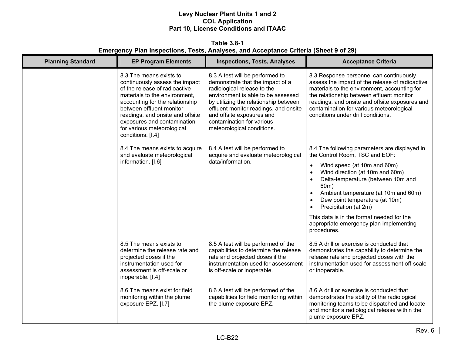**Table 3.8-1 Emergency Plan Inspections, Tests, Analyses, and Acceptance Criteria (Sheet 9 of 29)** 

| <b>Planning Standard</b> | <b>EP Program Elements</b>                                                                                                                                                                                                                                                                                       | <b>Inspections, Tests, Analyses</b>                                                                                                                                                                                                                                                                                | <b>Acceptance Criteria</b>                                                                                                                                                                                                                                                                                                                                               |
|--------------------------|------------------------------------------------------------------------------------------------------------------------------------------------------------------------------------------------------------------------------------------------------------------------------------------------------------------|--------------------------------------------------------------------------------------------------------------------------------------------------------------------------------------------------------------------------------------------------------------------------------------------------------------------|--------------------------------------------------------------------------------------------------------------------------------------------------------------------------------------------------------------------------------------------------------------------------------------------------------------------------------------------------------------------------|
|                          | 8.3 The means exists to<br>continuously assess the impact<br>of the release of radioactive<br>materials to the environment,<br>accounting for the relationship<br>between effluent monitor<br>readings, and onsite and offsite<br>exposures and contamination<br>for various meteorological<br>conditions. [I.4] | 8.3 A test will be performed to<br>demonstrate that the impact of a<br>radiological release to the<br>environment is able to be assessed<br>by utilizing the relationship between<br>effluent monitor readings, and onsite<br>and offsite exposures and<br>contamination for various<br>meteorological conditions. | 8.3 Response personnel can continuously<br>assess the impact of the release of radioactive<br>materials to the environment, accounting for<br>the relationship between effluent monitor<br>readings, and onsite and offsite exposures and<br>contamination for various meteorological<br>conditions under drill conditions.                                              |
|                          | 8.4 The means exists to acquire<br>and evaluate meteorological                                                                                                                                                                                                                                                   | 8.4 A test will be performed to<br>acquire and evaluate meteorological                                                                                                                                                                                                                                             | 8.4 The following parameters are displayed in<br>the Control Room, TSC and EOF:                                                                                                                                                                                                                                                                                          |
|                          | information. [I.6]                                                                                                                                                                                                                                                                                               | data/information.                                                                                                                                                                                                                                                                                                  | Wind speed (at 10m and 60m)<br>$\bullet$<br>Wind direction (at 10m and 60m)<br>$\bullet$<br>Delta-temperature (between 10m and<br>$\bullet$<br>60m)<br>Ambient temperature (at 10m and 60m)<br>$\bullet$<br>Dew point temperature (at 10m)<br>$\bullet$<br>Precipitation (at 2m)<br>This data is in the format needed for the<br>appropriate emergency plan implementing |
|                          |                                                                                                                                                                                                                                                                                                                  |                                                                                                                                                                                                                                                                                                                    | procedures.                                                                                                                                                                                                                                                                                                                                                              |
|                          | 8.5 The means exists to<br>determine the release rate and<br>projected doses if the<br>instrumentation used for<br>assessment is off-scale or<br>inoperable. [I.4]                                                                                                                                               | 8.5 A test will be performed of the<br>capabilities to determine the release<br>rate and projected doses if the<br>instrumentation used for assessment<br>is off-scale or inoperable.                                                                                                                              | 8.5 A drill or exercise is conducted that<br>demonstrates the capability to determine the<br>release rate and projected doses with the<br>instrumentation used for assessment off-scale<br>or inoperable.                                                                                                                                                                |
|                          | 8.6 The means exist for field<br>monitoring within the plume<br>exposure EPZ. [I.7]                                                                                                                                                                                                                              | 8.6 A test will be performed of the<br>capabilities for field monitoring within<br>the plume exposure EPZ.                                                                                                                                                                                                         | 8.6 A drill or exercise is conducted that<br>demonstrates the ability of the radiological<br>monitoring teams to be dispatched and locate<br>and monitor a radiological release within the<br>plume exposure EPZ.                                                                                                                                                        |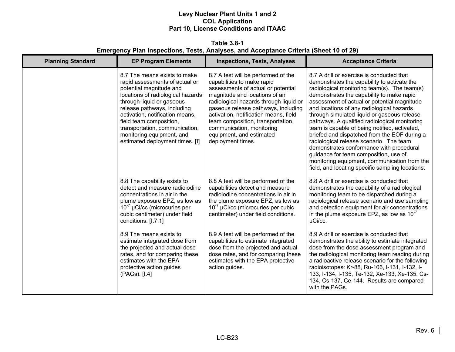**Table 3.8-1 Emergency Plan Inspections, Tests, Analyses, and Acceptance Criteria (Sheet 10 of 29)** 

| <b>Planning Standard</b> | <b>EP Program Elements</b>                                                                                                                                                                                                                                                                                                                                 | <b>Inspections, Tests, Analyses</b>                                                                                                                                                                                                                                                                                                                                                   | <b>Acceptance Criteria</b>                                                                                                                                                                                                                                                                                                                                                                                                                                                                                                                                                                                                                                                                                             |
|--------------------------|------------------------------------------------------------------------------------------------------------------------------------------------------------------------------------------------------------------------------------------------------------------------------------------------------------------------------------------------------------|---------------------------------------------------------------------------------------------------------------------------------------------------------------------------------------------------------------------------------------------------------------------------------------------------------------------------------------------------------------------------------------|------------------------------------------------------------------------------------------------------------------------------------------------------------------------------------------------------------------------------------------------------------------------------------------------------------------------------------------------------------------------------------------------------------------------------------------------------------------------------------------------------------------------------------------------------------------------------------------------------------------------------------------------------------------------------------------------------------------------|
|                          | 8.7 The means exists to make<br>rapid assessments of actual or<br>potential magnitude and<br>locations of radiological hazards<br>through liquid or gaseous<br>release pathways, including<br>activation, notification means,<br>field team composition,<br>transportation, communication,<br>monitoring equipment, and<br>estimated deployment times. [I] | 8.7 A test will be performed of the<br>capabilities to make rapid<br>assessments of actual or potential<br>magnitude and locations of an<br>radiological hazards through liquid or<br>gaseous release pathways, including<br>activation, notification means, field<br>team composition, transportation,<br>communication, monitoring<br>equipment, and estimated<br>deployment times. | 8.7 A drill or exercise is conducted that<br>demonstrates the capability to activate the<br>radiological monitoring team(s). The team(s)<br>demonstrates the capability to make rapid<br>assessment of actual or potential magnitude<br>and locations of any radiological hazards<br>through simulated liquid or gaseous release<br>pathways. A qualified radiological monitoring<br>team is capable of being notified, activated,<br>briefed and dispatched from the EOF during a<br>radiological release scenario. The team<br>demonstrates conformance with procedural<br>guidance for team composition, use of<br>monitoring equipment, communication from the<br>field, and locating specific sampling locations. |
|                          | 8.8 The capability exists to<br>detect and measure radioiodine<br>concentrations in air in the<br>plume exposure EPZ, as low as<br>$10^{-7}$ µCi/cc (microcuries per<br>cubic centimeter) under field<br>conditions. [I.7.1]                                                                                                                               | 8.8 A test will be performed of the<br>capabilities detect and measure<br>radioiodine concentrations in air in<br>the plume exposure EPZ, as low as<br>$10^{-7}$ µCi/cc (microcuries per cubic<br>centimeter) under field conditions.                                                                                                                                                 | 8.8 A drill or exercise is conducted that<br>demonstrates the capability of a radiological<br>monitoring team to be dispatched during a<br>radiological release scenario and use sampling<br>and detection equipment for air concentrations<br>in the plume exposure EPZ, as low as $10^{-7}$<br>µCi/cc.                                                                                                                                                                                                                                                                                                                                                                                                               |
|                          | 8.9 The means exists to<br>estimate integrated dose from<br>the projected and actual dose<br>rates, and for comparing these<br>estimates with the EPA<br>protective action guides<br>(PAGs). [I.4]                                                                                                                                                         | 8.9 A test will be performed of the<br>capabilities to estimate integrated<br>dose from the projected and actual<br>dose rates, and for comparing these<br>estimates with the EPA protective<br>action guides.                                                                                                                                                                        | 8.9 A drill or exercise is conducted that<br>demonstrates the ability to estimate integrated<br>dose from the dose assessment program and<br>the radiological monitoring team reading during<br>a radioactive release scenario for the following<br>radioisotopes: Kr-88, Ru-106, I-131, I-132, I-<br>133, I-134, I-135, Te-132, Xe-133, Xe-135, Cs-<br>134, Cs-137, Ce-144. Results are compared<br>with the PAGs.                                                                                                                                                                                                                                                                                                    |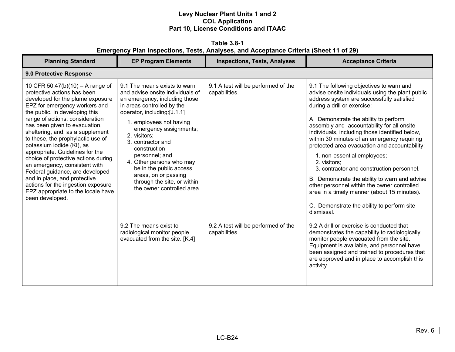**Table 3.8-1 Emergency Plan Inspections, Tests, Analyses, and Acceptance Criteria (Sheet 11 of 29)** 

| <b>Planning Standard</b>                                                                                                                                                                                                                                                                                                                                                                                                                                                                                                                                                                                                      | <b>EP Program Elements</b>                                                                                                                                                                                                                                                                                                                                                                                                                                                                                                        | <b>Inspections, Tests, Analyses</b>                                                                          | <b>Acceptance Criteria</b>                                                                                                                                                                                                                                                                                                                                                                                                                                                                                                                                                                                                                                                                                                                                                                                                                                                                                                                                                                                                   |  |  |
|-------------------------------------------------------------------------------------------------------------------------------------------------------------------------------------------------------------------------------------------------------------------------------------------------------------------------------------------------------------------------------------------------------------------------------------------------------------------------------------------------------------------------------------------------------------------------------------------------------------------------------|-----------------------------------------------------------------------------------------------------------------------------------------------------------------------------------------------------------------------------------------------------------------------------------------------------------------------------------------------------------------------------------------------------------------------------------------------------------------------------------------------------------------------------------|--------------------------------------------------------------------------------------------------------------|------------------------------------------------------------------------------------------------------------------------------------------------------------------------------------------------------------------------------------------------------------------------------------------------------------------------------------------------------------------------------------------------------------------------------------------------------------------------------------------------------------------------------------------------------------------------------------------------------------------------------------------------------------------------------------------------------------------------------------------------------------------------------------------------------------------------------------------------------------------------------------------------------------------------------------------------------------------------------------------------------------------------------|--|--|
| 9.0 Protective Response                                                                                                                                                                                                                                                                                                                                                                                                                                                                                                                                                                                                       |                                                                                                                                                                                                                                                                                                                                                                                                                                                                                                                                   |                                                                                                              |                                                                                                                                                                                                                                                                                                                                                                                                                                                                                                                                                                                                                                                                                                                                                                                                                                                                                                                                                                                                                              |  |  |
| 10 CFR 50.47(b)(10) – A range of<br>protective actions has been<br>developed for the plume exposure<br>EPZ for emergency workers and<br>the public. In developing this<br>range of actions, consideration<br>has been given to evacuation,<br>sheltering, and, as a supplement<br>to these, the prophylactic use of<br>potassium iodide (KI), as<br>appropriate. Guidelines for the<br>choice of protective actions during<br>an emergency, consistent with<br>Federal guidance, are developed<br>and in place, and protective<br>actions for the ingestion exposure<br>EPZ appropriate to the locale have<br>been developed. | 9.1 The means exists to warn<br>and advise onsite individuals of<br>an emergency, including those<br>in areas controlled by the<br>operator, including:[J.1.1]<br>1. employees not having<br>emergency assignments;<br>2. visitors;<br>3. contractor and<br>construction<br>personnel; and<br>4. Other persons who may<br>be in the public access<br>areas, on or passing<br>through the site, or within<br>the owner controlled area.<br>9.2 The means exist to<br>radiological monitor people<br>evacuated from the site. [K.4] | 9.1 A test will be performed of the<br>capabilities.<br>9.2 A test will be performed of the<br>capabilities. | 9.1 The following objectives to warn and<br>advise onsite individuals using the plant public<br>address system are successfully satisfied<br>during a drill or exercise:<br>A. Demonstrate the ability to perform<br>assembly and accountability for all onsite<br>individuals, including those identified below,<br>within 30 minutes of an emergency requiring<br>protected area evacuation and accountability:<br>1. non-essential employees;<br>2. visitors;<br>3. contractor and construction personnel.<br>B. Demonstrate the ability to warn and advise<br>other personnel within the owner controlled<br>area in a timely manner (about 15 minutes).<br>C. Demonstrate the ability to perform site<br>dismissal.<br>9.2 A drill or exercise is conducted that<br>demonstrates the capability to radiologically<br>monitor people evacuated from the site.<br>Equipment is available, and personnel have<br>been assigned and trained to procedures that<br>are approved and in place to accomplish this<br>activity. |  |  |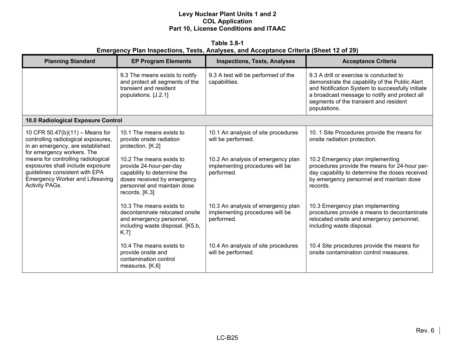**Table 3.8-1 Emergency Plan Inspections, Tests, Analyses, and Acceptance Criteria (Sheet 12 of 29)** 

| <b>Planning Standard</b>                                                                                                                                             | <b>EP Program Elements</b>                                                                                                                                         | <b>Inspections, Tests, Analyses</b>                                                 | <b>Acceptance Criteria</b>                                                                                                                                                                                                                               |
|----------------------------------------------------------------------------------------------------------------------------------------------------------------------|--------------------------------------------------------------------------------------------------------------------------------------------------------------------|-------------------------------------------------------------------------------------|----------------------------------------------------------------------------------------------------------------------------------------------------------------------------------------------------------------------------------------------------------|
|                                                                                                                                                                      | 9.3 The means exists to notify<br>and protect all segments of the<br>transient and resident<br>populations. [J.2.1]                                                | 9.3 A test will be performed of the<br>capabilities.                                | 9.3 A drill or exercise is conducted to<br>demonstrate the capability of the Public Alert<br>and Notification System to successfully initiate<br>a broadcast message to notify and protect all<br>segments of the transient and resident<br>populations. |
| 10.0 Radiological Exposure Control                                                                                                                                   |                                                                                                                                                                    |                                                                                     |                                                                                                                                                                                                                                                          |
| 10 CFR 50.47(b)(11) - Means for<br>controlling radiological exposures,<br>in an emergency, are established<br>for emergency workers. The                             | 10.1 The means exists to<br>provide onsite radiation<br>protection. [K.2]                                                                                          | 10.1 An analysis of site procedures<br>will be performed.                           | 10. 1 Site Procedures provide the means for<br>onsite radiation protection.                                                                                                                                                                              |
| means for controlling radiological<br>exposures shall include exposure<br>guidelines consistent with EPA<br><b>Emergency Worker and Lifesaving</b><br>Activity PAGs. | 10.2 The means exists to<br>provide 24-hour-per-day<br>capability to determine the<br>doses received by emergency<br>personnel and maintain dose<br>records. [K.3] | 10.2 An analysis of emergency plan<br>implementing procedures will be<br>performed. | 10.2 Emergency plan implementing<br>procedures provide the means for 24-hour per-<br>day capability to determine the doses received<br>by emergency personnel and maintain dose<br>records.                                                              |
|                                                                                                                                                                      | 10.3 The means exists to<br>decontaminate relocated onsite<br>and emergency personnel,<br>including waste disposal. [K5.b,<br>K.7                                  | 10.3 An analysis of emergency plan<br>implementing procedures will be<br>performed. | 10.3 Emergency plan implementing<br>procedures provide a means to decontaminate<br>relocated onsite and emergency personnel,<br>including waste disposal.                                                                                                |
|                                                                                                                                                                      | 10.4 The means exists to<br>provide onsite and<br>contamination control<br>measures. [K.6]                                                                         | 10.4 An analysis of site procedures<br>will be performed.                           | 10.4 Site procedures provide the means for<br>onsite contamination control measures.                                                                                                                                                                     |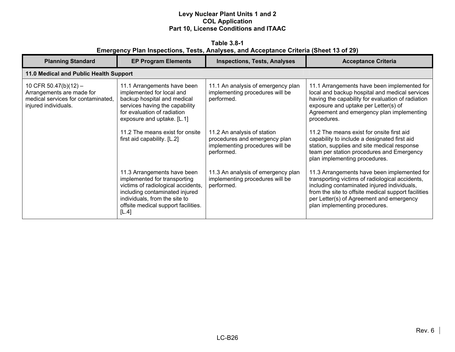**Table 3.8-1 Emergency Plan Inspections, Tests, Analyses, and Acceptance Criteria (Sheet 13 of 29)** 

| <b>Planning Standard</b>                                                                                         | <b>EP Program Elements</b>                                                                                                                                                                                           | <b>Inspections, Tests, Analyses</b>                                                                           | <b>Acceptance Criteria</b>                                                                                                                                                                                                                                                        |
|------------------------------------------------------------------------------------------------------------------|----------------------------------------------------------------------------------------------------------------------------------------------------------------------------------------------------------------------|---------------------------------------------------------------------------------------------------------------|-----------------------------------------------------------------------------------------------------------------------------------------------------------------------------------------------------------------------------------------------------------------------------------|
| 11.0 Medical and Public Health Support                                                                           |                                                                                                                                                                                                                      |                                                                                                               |                                                                                                                                                                                                                                                                                   |
| 10 CFR 50.47(b)(12) -<br>Arrangements are made for<br>medical services for contaminated,<br>injured individuals. | 11.1 Arrangements have been<br>implemented for local and<br>backup hospital and medical<br>services having the capability<br>for evaluation of radiation<br>exposure and uptake. [L.1]                               | 11.1 An analysis of emergency plan<br>implementing procedures will be<br>performed.                           | 11.1 Arrangements have been implemented for<br>local and backup hospital and medical services<br>having the capability for evaluation of radiation<br>exposure and uptake per Letter(s) of<br>Agreement and emergency plan implementing<br>procedures.                            |
|                                                                                                                  | 11.2 The means exist for onsite<br>first aid capability. [L.2]                                                                                                                                                       | 11.2 An analysis of station<br>procedures and emergency plan<br>implementing procedures will be<br>performed. | 11.2 The means exist for onsite first aid<br>capability to include a designated first aid<br>station, supplies and site medical response<br>team per station procedures and Emergency<br>plan implementing procedures.                                                            |
|                                                                                                                  | 11.3 Arrangements have been<br>implemented for transporting<br>victims of radiological accidents,<br>including contaminated injured<br>individuals, from the site to<br>offsite medical support facilities.<br>[L.4] | 11.3 An analysis of emergency plan<br>implementing procedures will be<br>performed.                           | 11.3 Arrangements have been implemented for<br>transporting victims of radiological accidents,<br>including contaminated injured individuals,<br>from the site to offsite medical support facilities<br>per Letter(s) of Agreement and emergency<br>plan implementing procedures. |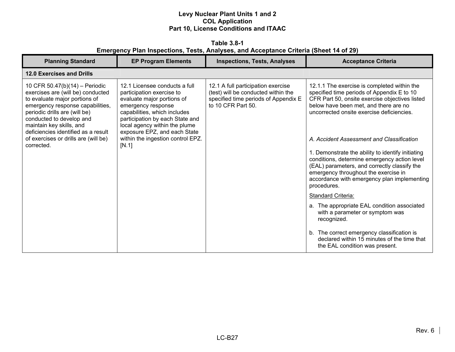**Table 3.8-1 Emergency Plan Inspections, Tests, Analyses, and Acceptance Criteria (Sheet 14 of 29)** 

| <b>Planning Standard</b>                                                                                                                                                                                                                                                                                                       | <b>EP Program Elements</b>                                                                                                                                                                                                                                                                       | <b>Inspections, Tests, Analyses</b>                                                                                                     | <b>Acceptance Criteria</b>                                                                                                                                                                                                                                                                                                                                                                                                                                                                                                                                                                                                                                       |
|--------------------------------------------------------------------------------------------------------------------------------------------------------------------------------------------------------------------------------------------------------------------------------------------------------------------------------|--------------------------------------------------------------------------------------------------------------------------------------------------------------------------------------------------------------------------------------------------------------------------------------------------|-----------------------------------------------------------------------------------------------------------------------------------------|------------------------------------------------------------------------------------------------------------------------------------------------------------------------------------------------------------------------------------------------------------------------------------------------------------------------------------------------------------------------------------------------------------------------------------------------------------------------------------------------------------------------------------------------------------------------------------------------------------------------------------------------------------------|
| <b>12.0 Exercises and Drills</b>                                                                                                                                                                                                                                                                                               |                                                                                                                                                                                                                                                                                                  |                                                                                                                                         |                                                                                                                                                                                                                                                                                                                                                                                                                                                                                                                                                                                                                                                                  |
| 10 CFR 50.47(b)(14) - Periodic<br>exercises are (will be) conducted<br>to evaluate major portions of<br>emergency response capabilities,<br>periodic drills are (will be)<br>conducted to develop and<br>maintain key skills, and<br>deficiencies identified as a result<br>of exercises or drills are (will be)<br>corrected. | 12.1 Licensee conducts a full<br>participation exercise to<br>evaluate major portions of<br>emergency response<br>capabilities, which includes<br>participation by each State and<br>local agency within the plume<br>exposure EPZ, and each State<br>within the ingestion control EPZ.<br>[N.1] | 12.1 A full participation exercise<br>(test) will be conducted within the<br>specified time periods of Appendix E<br>to 10 CFR Part 50. | 12.1.1 The exercise is completed within the<br>specified time periods of Appendix E to 10<br>CFR Part 50, onsite exercise objectives listed<br>below have been met, and there are no<br>uncorrected onsite exercise deficiencies.<br>A. Accident Assessment and Classification<br>1. Demonstrate the ability to identify initiating<br>conditions, determine emergency action level<br>(EAL) parameters, and correctly classify the<br>emergency throughout the exercise in<br>accordance with emergency plan implementing<br>procedures.<br>Standard Criteria:<br>a. The appropriate EAL condition associated<br>with a parameter or symptom was<br>recognized. |
|                                                                                                                                                                                                                                                                                                                                |                                                                                                                                                                                                                                                                                                  |                                                                                                                                         | b. The correct emergency classification is<br>declared within 15 minutes of the time that<br>the EAL condition was present.                                                                                                                                                                                                                                                                                                                                                                                                                                                                                                                                      |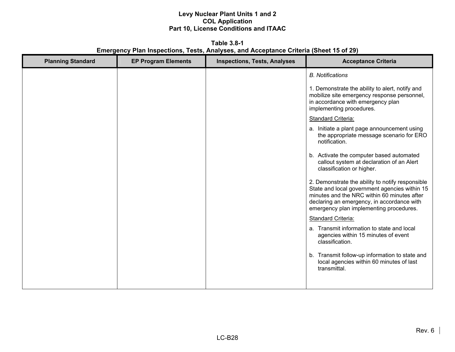**Table 3.8-1 Emergency Plan Inspections, Tests, Analyses, and Acceptance Criteria (Sheet 15 of 29)** 

| <b>Planning Standard</b> | <b>EP Program Elements</b> | <b>Inspections, Tests, Analyses</b> | <b>Acceptance Criteria</b>                                                                                                                                                                                                                |
|--------------------------|----------------------------|-------------------------------------|-------------------------------------------------------------------------------------------------------------------------------------------------------------------------------------------------------------------------------------------|
|                          |                            |                                     | <b>B.</b> Notifications                                                                                                                                                                                                                   |
|                          |                            |                                     | 1. Demonstrate the ability to alert, notify and<br>mobilize site emergency response personnel,<br>in accordance with emergency plan<br>implementing procedures.                                                                           |
|                          |                            |                                     | <b>Standard Criteria:</b>                                                                                                                                                                                                                 |
|                          |                            |                                     | a. Initiate a plant page announcement using<br>the appropriate message scenario for ERO<br>notification.                                                                                                                                  |
|                          |                            |                                     | b. Activate the computer based automated<br>callout system at declaration of an Alert<br>classification or higher.                                                                                                                        |
|                          |                            |                                     | 2. Demonstrate the ability to notify responsible<br>State and local government agencies within 15<br>minutes and the NRC within 60 minutes after<br>declaring an emergency, in accordance with<br>emergency plan implementing procedures. |
|                          |                            |                                     | <b>Standard Criteria:</b>                                                                                                                                                                                                                 |
|                          |                            |                                     | a. Transmit information to state and local<br>agencies within 15 minutes of event<br>classification.                                                                                                                                      |
|                          |                            |                                     | b. Transmit follow-up information to state and<br>local agencies within 60 minutes of last<br>transmittal.                                                                                                                                |
|                          |                            |                                     |                                                                                                                                                                                                                                           |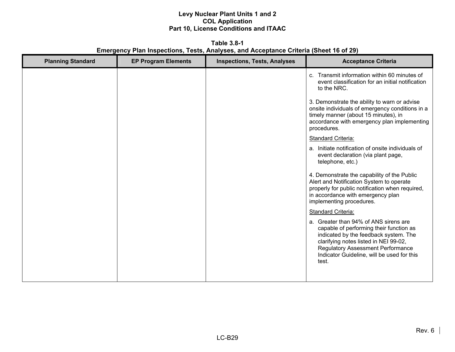**Table 3.8-1 Emergency Plan Inspections, Tests, Analyses, and Acceptance Criteria (Sheet 16 of 29)** 

| <b>Planning Standard</b> | <b>EP Program Elements</b> | <b>Inspections, Tests, Analyses</b> | <b>Acceptance Criteria</b>                                                                                                                                                                                                                                            |
|--------------------------|----------------------------|-------------------------------------|-----------------------------------------------------------------------------------------------------------------------------------------------------------------------------------------------------------------------------------------------------------------------|
|                          |                            |                                     | c. Transmit information within 60 minutes of<br>event classification for an initial notification<br>to the NRC.                                                                                                                                                       |
|                          |                            |                                     | 3. Demonstrate the ability to warn or advise<br>onsite individuals of emergency conditions in a<br>timely manner (about 15 minutes), in<br>accordance with emergency plan implementing<br>procedures.                                                                 |
|                          |                            |                                     | <b>Standard Criteria:</b>                                                                                                                                                                                                                                             |
|                          |                            |                                     | a. Initiate notification of onsite individuals of<br>event declaration (via plant page,<br>telephone, etc.)                                                                                                                                                           |
|                          |                            |                                     | 4. Demonstrate the capability of the Public<br>Alert and Notification System to operate<br>properly for public notification when required,<br>in accordance with emergency plan<br>implementing procedures.                                                           |
|                          |                            |                                     | <b>Standard Criteria:</b>                                                                                                                                                                                                                                             |
|                          |                            |                                     | a. Greater than 94% of ANS sirens are<br>capable of performing their function as<br>indicated by the feedback system. The<br>clarifying notes listed in NEI 99-02,<br><b>Regulatory Assessment Performance</b><br>Indicator Guideline, will be used for this<br>test. |
|                          |                            |                                     |                                                                                                                                                                                                                                                                       |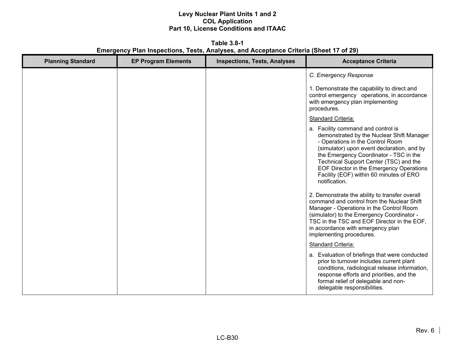**Table 3.8-1 Emergency Plan Inspections, Tests, Analyses, and Acceptance Criteria (Sheet 17 of 29)** 

| <b>Planning Standard</b> | <b>EP Program Elements</b> | <b>Inspections, Tests, Analyses</b> | <b>Acceptance Criteria</b>                                                                                                                                                                                                                                                                                                                                    |
|--------------------------|----------------------------|-------------------------------------|---------------------------------------------------------------------------------------------------------------------------------------------------------------------------------------------------------------------------------------------------------------------------------------------------------------------------------------------------------------|
|                          |                            |                                     | C. Emergency Response                                                                                                                                                                                                                                                                                                                                         |
|                          |                            |                                     | 1. Demonstrate the capability to direct and<br>control emergency operations, in accordance<br>with emergency plan implementing<br>procedures.                                                                                                                                                                                                                 |
|                          |                            |                                     | <b>Standard Criteria:</b>                                                                                                                                                                                                                                                                                                                                     |
|                          |                            |                                     | a. Facility command and control is<br>demonstrated by the Nuclear Shift Manager<br>- Operations in the Control Room<br>(simulator) upon event declaration, and by<br>the Emergency Coordinator - TSC in the<br>Technical Support Center (TSC) and the<br>EOF Director in the Emergency Operations<br>Facility (EOF) within 60 minutes of ERO<br>notification. |
|                          |                            |                                     | 2. Demonstrate the ability to transfer overall<br>command and control from the Nuclear Shift<br>Manager - Operations in the Control Room<br>(simulator) to the Emergency Coordinator -<br>TSC in the TSC and EOF Director in the EOF,<br>in accordance with emergency plan<br>implementing procedures.                                                        |
|                          |                            |                                     | <b>Standard Criteria:</b>                                                                                                                                                                                                                                                                                                                                     |
|                          |                            |                                     | a. Evaluation of briefings that were conducted<br>prior to turnover includes current plant<br>conditions, radiological release information,<br>response efforts and priorities, and the<br>formal relief of delegable and non-<br>delegable responsibilities.                                                                                                 |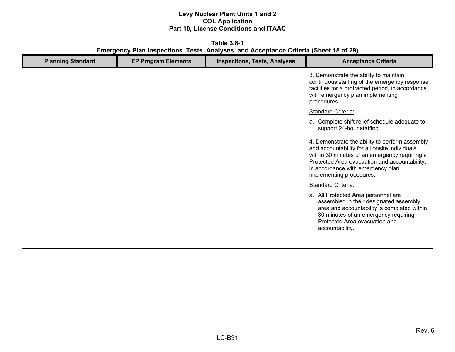**Table 3.8-1 Emergency Plan Inspections, Tests, Analyses, and Acceptance Criteria (Sheet 18 of 29)** 

| <b>EP Program Elements</b> | <b>Inspections, Tests, Analyses</b> | <b>Acceptance Criteria</b>                                                                                                                                                                                                                                         |
|----------------------------|-------------------------------------|--------------------------------------------------------------------------------------------------------------------------------------------------------------------------------------------------------------------------------------------------------------------|
|                            |                                     | 3. Demonstrate the ability to maintain<br>continuous staffing of the emergency response<br>facilities for a protracted period, in accordance<br>with emergency plan implementing<br>procedures.                                                                    |
|                            |                                     | <b>Standard Criteria:</b>                                                                                                                                                                                                                                          |
|                            |                                     | a. Complete shift relief schedule adequate to<br>support 24-hour staffing.                                                                                                                                                                                         |
|                            |                                     | 4. Demonstrate the ability to perform assembly<br>and accountability for all onsite individuals<br>within 30 minutes of an emergency requiring a<br>Protected Area evacuation and accountability,<br>in accordance with emergency plan<br>implementing procedures. |
|                            |                                     | <b>Standard Criteria:</b>                                                                                                                                                                                                                                          |
|                            |                                     | a. All Protected Area personnel are<br>assembled in their designated assembly<br>area and accountability is completed within<br>30 minutes of an emergency requiring<br>Protected Area evacuation and<br>accountability.                                           |
|                            |                                     |                                                                                                                                                                                                                                                                    |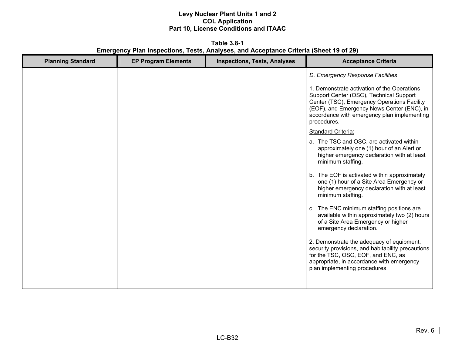**Table 3.8-1 Emergency Plan Inspections, Tests, Analyses, and Acceptance Criteria (Sheet 19 of 29)** 

| <b>Planning Standard</b> | <b>EP Program Elements</b> | <b>Inspections, Tests, Analyses</b> | <b>Acceptance Criteria</b>                                                                                                                                                                                                                        |
|--------------------------|----------------------------|-------------------------------------|---------------------------------------------------------------------------------------------------------------------------------------------------------------------------------------------------------------------------------------------------|
|                          |                            |                                     | D. Emergency Response Facilities                                                                                                                                                                                                                  |
|                          |                            |                                     | 1. Demonstrate activation of the Operations<br>Support Center (OSC), Technical Support<br>Center (TSC), Emergency Operations Facility<br>(EOF), and Emergency News Center (ENC), in<br>accordance with emergency plan implementing<br>procedures. |
|                          |                            |                                     | <b>Standard Criteria:</b>                                                                                                                                                                                                                         |
|                          |                            |                                     | a. The TSC and OSC, are activated within<br>approximately one (1) hour of an Alert or<br>higher emergency declaration with at least<br>minimum staffing.                                                                                          |
|                          |                            |                                     | b. The EOF is activated within approximately<br>one (1) hour of a Site Area Emergency or<br>higher emergency declaration with at least<br>minimum staffing.                                                                                       |
|                          |                            |                                     | c. The ENC minimum staffing positions are<br>available within approximately two (2) hours<br>of a Site Area Emergency or higher<br>emergency declaration.                                                                                         |
|                          |                            |                                     | 2. Demonstrate the adequacy of equipment,<br>security provisions, and habitability precautions<br>for the TSC, OSC, EOF, and ENC, as<br>appropriate, in accordance with emergency<br>plan implementing procedures.                                |
|                          |                            |                                     |                                                                                                                                                                                                                                                   |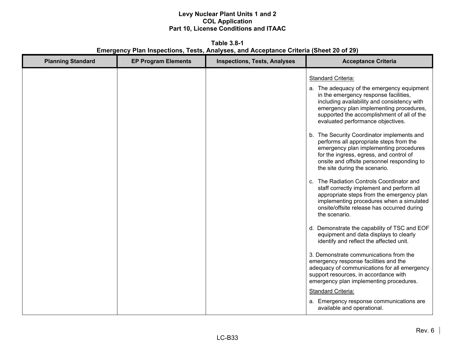**Table 3.8-1 Emergency Plan Inspections, Tests, Analyses, and Acceptance Criteria (Sheet 20 of 29)** 

| <b>Planning Standard</b> | <b>EP Program Elements</b> | <b>Inspections, Tests, Analyses</b> | <b>Acceptance Criteria</b>                                                                                                                                                                                                                                                                                                                                                                                                                                                                                                                                                                                                                                                                                                                                                                                                                                                                             |
|--------------------------|----------------------------|-------------------------------------|--------------------------------------------------------------------------------------------------------------------------------------------------------------------------------------------------------------------------------------------------------------------------------------------------------------------------------------------------------------------------------------------------------------------------------------------------------------------------------------------------------------------------------------------------------------------------------------------------------------------------------------------------------------------------------------------------------------------------------------------------------------------------------------------------------------------------------------------------------------------------------------------------------|
|                          |                            |                                     | <b>Standard Criteria:</b><br>a. The adequacy of the emergency equipment<br>in the emergency response facilities,<br>including availability and consistency with<br>emergency plan implementing procedures,<br>supported the accomplishment of all of the<br>evaluated performance objectives.<br>b. The Security Coordinator implements and<br>performs all appropriate steps from the<br>emergency plan implementing procedures<br>for the ingress, egress, and control of<br>onsite and offsite personnel responding to<br>the site during the scenario.<br>c. The Radiation Controls Coordinator and<br>staff correctly implement and perform all<br>appropriate steps from the emergency plan<br>implementing procedures when a simulated<br>onsite/offsite release has occurred during<br>the scenario.<br>d. Demonstrate the capability of TSC and EOF<br>equipment and data displays to clearly |
|                          |                            |                                     | identify and reflect the affected unit.<br>3. Demonstrate communications from the<br>emergency response facilities and the<br>adequacy of communications for all emergency<br>support resources, in accordance with<br>emergency plan implementing procedures.<br><b>Standard Criteria:</b><br>a. Emergency response communications are<br>available and operational.                                                                                                                                                                                                                                                                                                                                                                                                                                                                                                                                  |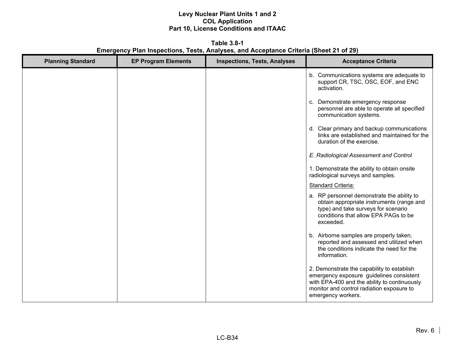**Table 3.8-1 Emergency Plan Inspections, Tests, Analyses, and Acceptance Criteria (Sheet 21 of 29)** 

| <b>Planning Standard</b> | <b>EP Program Elements</b> | <b>Inspections, Tests, Analyses</b> | <b>Acceptance Criteria</b>                                                                                                                                                                                |
|--------------------------|----------------------------|-------------------------------------|-----------------------------------------------------------------------------------------------------------------------------------------------------------------------------------------------------------|
|                          |                            |                                     | b. Communications systems are adequate to<br>support CR, TSC, OSC, EOF, and ENC<br>activation.                                                                                                            |
|                          |                            |                                     | c. Demonstrate emergency response<br>personnel are able to operate all specified<br>communication systems.                                                                                                |
|                          |                            |                                     | d. Clear primary and backup communications<br>links are established and maintained for the<br>duration of the exercise.                                                                                   |
|                          |                            |                                     | E. Radiological Assessment and Control                                                                                                                                                                    |
|                          |                            |                                     | 1. Demonstrate the ability to obtain onsite<br>radiological surveys and samples.                                                                                                                          |
|                          |                            |                                     | Standard Criteria:                                                                                                                                                                                        |
|                          |                            |                                     | a. RP personnel demonstrate the ability to<br>obtain appropriate instruments (range and<br>type) and take surveys for scenario<br>conditions that allow EPA PAGs to be<br>exceeded.                       |
|                          |                            |                                     | b. Airborne samples are properly taken,<br>reported and assessed and utilized when<br>the conditions indicate the need for the<br>information.                                                            |
|                          |                            |                                     | 2. Demonstrate the capability to establish<br>emergency exposure guidelines consistent<br>with EPA-400 and the ability to continuously<br>monitor and control radiation exposure to<br>emergency workers. |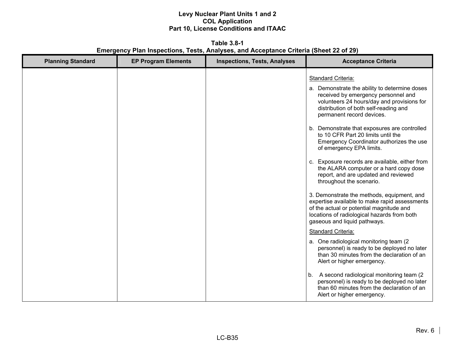**Table 3.8-1 Emergency Plan Inspections, Tests, Analyses, and Acceptance Criteria (Sheet 22 of 29)**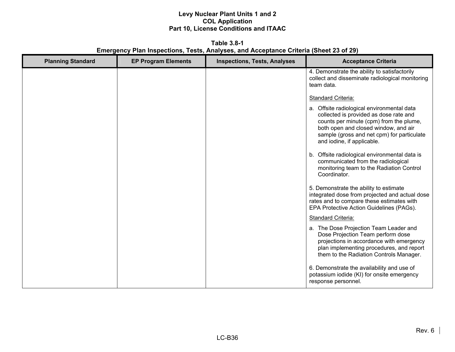**Table 3.8-1 Emergency Plan Inspections, Tests, Analyses, and Acceptance Criteria (Sheet 23 of 29)** 

| <b>Planning Standard</b> | <b>EP Program Elements</b> | <b>Inspections, Tests, Analyses</b> | <b>Acceptance Criteria</b>                                                                                                                                                                                                                          |
|--------------------------|----------------------------|-------------------------------------|-----------------------------------------------------------------------------------------------------------------------------------------------------------------------------------------------------------------------------------------------------|
|                          |                            |                                     | 4. Demonstrate the ability to satisfactorily<br>collect and disseminate radiological monitoring<br>team data.                                                                                                                                       |
|                          |                            |                                     | <b>Standard Criteria:</b>                                                                                                                                                                                                                           |
|                          |                            |                                     | a. Offsite radiological environmental data<br>collected is provided as dose rate and<br>counts per minute (cpm) from the plume,<br>both open and closed window, and air<br>sample (gross and net cpm) for particulate<br>and iodine, if applicable. |
|                          |                            |                                     | Offsite radiological environmental data is<br>b.<br>communicated from the radiological<br>monitoring team to the Radiation Control<br>Coordinator.                                                                                                  |
|                          |                            |                                     | 5. Demonstrate the ability to estimate<br>integrated dose from projected and actual dose<br>rates and to compare these estimates with<br>EPA Protective Action Guidelines (PAGs).                                                                   |
|                          |                            |                                     | Standard Criteria:                                                                                                                                                                                                                                  |
|                          |                            |                                     | a. The Dose Projection Team Leader and<br>Dose Projection Team perform dose<br>projections in accordance with emergency<br>plan implementing procedures, and report<br>them to the Radiation Controls Manager.                                      |
|                          |                            |                                     | 6. Demonstrate the availability and use of<br>potassium iodide (KI) for onsite emergency<br>response personnel.                                                                                                                                     |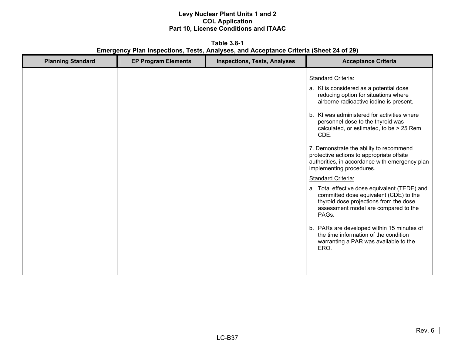**Table 3.8-1 Emergency Plan Inspections, Tests, Analyses, and Acceptance Criteria (Sheet 24 of 29)** 

| <b>Planning Standard</b> | <b>EP Program Elements</b> | <b>Inspections, Tests, Analyses</b> | <b>Acceptance Criteria</b>                                                                                                                                                                                                                                                                                                                                                                                                                                                                                                                                                                                                                                                                                                                                                                                                       |
|--------------------------|----------------------------|-------------------------------------|----------------------------------------------------------------------------------------------------------------------------------------------------------------------------------------------------------------------------------------------------------------------------------------------------------------------------------------------------------------------------------------------------------------------------------------------------------------------------------------------------------------------------------------------------------------------------------------------------------------------------------------------------------------------------------------------------------------------------------------------------------------------------------------------------------------------------------|
|                          |                            |                                     | <b>Standard Criteria:</b><br>a. KI is considered as a potential dose<br>reducing option for situations where<br>airborne radioactive iodine is present.<br>b. KI was administered for activities where<br>personnel dose to the thyroid was<br>calculated, or estimated, to be > 25 Rem<br>CDE.<br>7. Demonstrate the ability to recommend<br>protective actions to appropriate offsite<br>authorities, in accordance with emergency plan<br>implementing procedures.<br><b>Standard Criteria:</b><br>a. Total effective dose equivalent (TEDE) and<br>committed dose equivalent (CDE) to the<br>thyroid dose projections from the dose<br>assessment model are compared to the<br>PAGs.<br>b. PARs are developed within 15 minutes of<br>the time information of the condition<br>warranting a PAR was available to the<br>ERO. |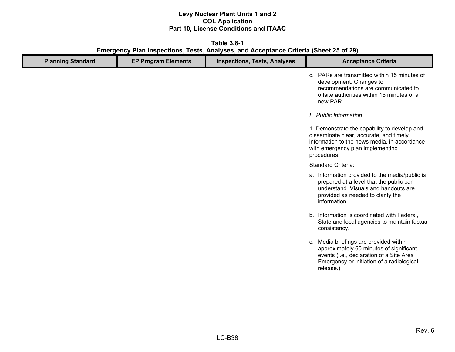**Table 3.8-1 Emergency Plan Inspections, Tests, Analyses, and Acceptance Criteria (Sheet 25 of 29)** 

| <b>Planning Standard</b> | <b>EP Program Elements</b> | <b>Inspections, Tests, Analyses</b> | <b>Acceptance Criteria</b>                                                                                                                                                                 |
|--------------------------|----------------------------|-------------------------------------|--------------------------------------------------------------------------------------------------------------------------------------------------------------------------------------------|
|                          |                            |                                     | c. PARs are transmitted within 15 minutes of<br>development. Changes to<br>recommendations are communicated to<br>offsite authorities within 15 minutes of a<br>new PAR.                   |
|                          |                            |                                     | F. Public Information                                                                                                                                                                      |
|                          |                            |                                     | 1. Demonstrate the capability to develop and<br>disseminate clear, accurate, and timely<br>information to the news media, in accordance<br>with emergency plan implementing<br>procedures. |
|                          |                            |                                     | Standard Criteria:                                                                                                                                                                         |
|                          |                            |                                     | a. Information provided to the media/public is<br>prepared at a level that the public can<br>understand. Visuals and handouts are<br>provided as needed to clarify the<br>information.     |
|                          |                            |                                     | b. Information is coordinated with Federal,<br>State and local agencies to maintain factual<br>consistency.                                                                                |
|                          |                            |                                     | c. Media briefings are provided within<br>approximately 60 minutes of significant<br>events (i.e., declaration of a Site Area<br>Emergency or initiation of a radiological<br>release.)    |
|                          |                            |                                     |                                                                                                                                                                                            |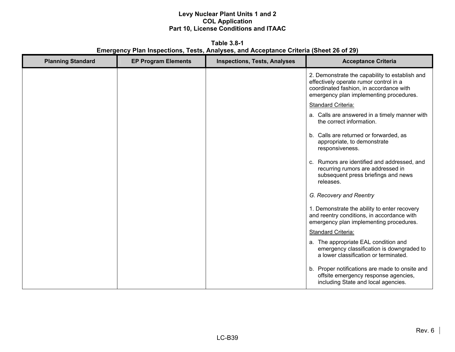**Table 3.8-1 Emergency Plan Inspections, Tests, Analyses, and Acceptance Criteria (Sheet 26 of 29)** 

| <b>Planning Standard</b> | <b>EP Program Elements</b> | <b>Inspections, Tests, Analyses</b> | <b>Acceptance Criteria</b>                                                                                                                                                     |
|--------------------------|----------------------------|-------------------------------------|--------------------------------------------------------------------------------------------------------------------------------------------------------------------------------|
|                          |                            |                                     | 2. Demonstrate the capability to establish and<br>effectively operate rumor control in a<br>coordinated fashion, in accordance with<br>emergency plan implementing procedures. |
|                          |                            |                                     | Standard Criteria:                                                                                                                                                             |
|                          |                            |                                     | a. Calls are answered in a timely manner with<br>the correct information.                                                                                                      |
|                          |                            |                                     | b. Calls are returned or forwarded, as<br>appropriate, to demonstrate<br>responsiveness.                                                                                       |
|                          |                            |                                     | c. Rumors are identified and addressed, and<br>recurring rumors are addressed in<br>subsequent press briefings and news<br>releases.                                           |
|                          |                            |                                     | G. Recovery and Reentry                                                                                                                                                        |
|                          |                            |                                     | 1. Demonstrate the ability to enter recovery<br>and reentry conditions, in accordance with<br>emergency plan implementing procedures.                                          |
|                          |                            |                                     | Standard Criteria:                                                                                                                                                             |
|                          |                            |                                     | a. The appropriate EAL condition and<br>emergency classification is downgraded to<br>a lower classification or terminated.                                                     |
|                          |                            |                                     | b. Proper notifications are made to onsite and<br>offsite emergency response agencies,<br>including State and local agencies.                                                  |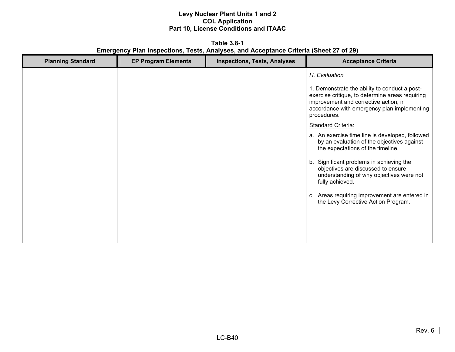**Table 3.8-1 Emergency Plan Inspections, Tests, Analyses, and Acceptance Criteria (Sheet 27 of 29)** 

| <b>Planning Standard</b> | <b>EP Program Elements</b> | <b>Inspections, Tests, Analyses</b> | <b>Acceptance Criteria</b>                                                                                                                                                                              |
|--------------------------|----------------------------|-------------------------------------|---------------------------------------------------------------------------------------------------------------------------------------------------------------------------------------------------------|
|                          |                            |                                     | H. Evaluation                                                                                                                                                                                           |
|                          |                            |                                     | 1. Demonstrate the ability to conduct a post-<br>exercise critique, to determine areas requiring<br>improvement and corrective action, in<br>accordance with emergency plan implementing<br>procedures. |
|                          |                            |                                     | <b>Standard Criteria:</b>                                                                                                                                                                               |
|                          |                            |                                     | a. An exercise time line is developed, followed<br>by an evaluation of the objectives against<br>the expectations of the timeline.                                                                      |
|                          |                            |                                     | Significant problems in achieving the<br>b.<br>objectives are discussed to ensure<br>understanding of why objectives were not<br>fully achieved.                                                        |
|                          |                            |                                     | Areas requiring improvement are entered in<br>C.<br>the Levy Corrective Action Program.                                                                                                                 |
|                          |                            |                                     |                                                                                                                                                                                                         |
|                          |                            |                                     |                                                                                                                                                                                                         |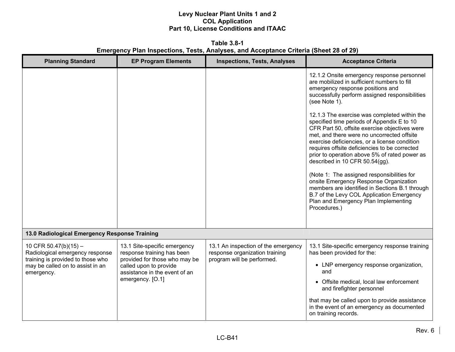**Table 3.8-1 Emergency Plan Inspections, Tests, Analyses, and Acceptance Criteria (Sheet 28 of 29)** 

| <b>Planning Standard</b>                                                                                                                          | <b>EP Program Elements</b>                                                                                                                                                 | <b>Inspections, Tests, Analyses</b>                                                                 | <b>Acceptance Criteria</b>                                                                                                                                                                                                                                                                                                                                                                                                                                                                                                                                                                                                    |
|---------------------------------------------------------------------------------------------------------------------------------------------------|----------------------------------------------------------------------------------------------------------------------------------------------------------------------------|-----------------------------------------------------------------------------------------------------|-------------------------------------------------------------------------------------------------------------------------------------------------------------------------------------------------------------------------------------------------------------------------------------------------------------------------------------------------------------------------------------------------------------------------------------------------------------------------------------------------------------------------------------------------------------------------------------------------------------------------------|
|                                                                                                                                                   |                                                                                                                                                                            |                                                                                                     | 12.1.2 Onsite emergency response personnel<br>are mobilized in sufficient numbers to fill<br>emergency response positions and<br>successfully perform assigned responsibilities<br>(see Note 1).                                                                                                                                                                                                                                                                                                                                                                                                                              |
|                                                                                                                                                   |                                                                                                                                                                            |                                                                                                     | 12.1.3 The exercise was completed within the<br>specified time periods of Appendix E to 10<br>CFR Part 50, offsite exercise objectives were<br>met, and there were no uncorrected offsite<br>exercise deficiencies, or a license condition<br>requires offsite deficiencies to be corrected<br>prior to operation above 5% of rated power as<br>described in 10 CFR 50.54(gg).<br>(Note 1: The assigned responsibilities for<br>onsite Emergency Response Organization<br>members are identified in Sections B.1 through<br>B.7 of the Levy COL Application Emergency<br>Plan and Emergency Plan Implementing<br>Procedures.) |
| 13.0 Radiological Emergency Response Training                                                                                                     |                                                                                                                                                                            |                                                                                                     |                                                                                                                                                                                                                                                                                                                                                                                                                                                                                                                                                                                                                               |
| 10 CFR 50.47(b)(15) $-$<br>Radiological emergency response<br>training is provided to those who<br>may be called on to assist in an<br>emergency. | 13.1 Site-specific emergency<br>response training has been<br>provided for those who may be<br>called upon to provide<br>assistance in the event of an<br>emergency. [O.1] | 13.1 An inspection of the emergency<br>response organization training<br>program will be performed. | 13.1 Site-specific emergency response training<br>has been provided for the:<br>• LNP emergency response organization,<br>and<br>• Offsite medical, local law enforcement                                                                                                                                                                                                                                                                                                                                                                                                                                                     |
|                                                                                                                                                   |                                                                                                                                                                            |                                                                                                     | and firefighter personnel<br>that may be called upon to provide assistance<br>in the event of an emergency as documented<br>on training records.                                                                                                                                                                                                                                                                                                                                                                                                                                                                              |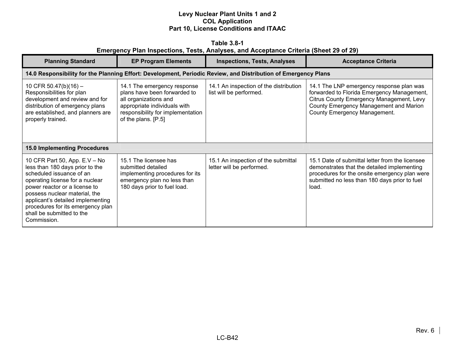|                                                                                       | Table 3.8-1 |  |  |  |
|---------------------------------------------------------------------------------------|-------------|--|--|--|
| Emergency Plan Inspections, Tests, Analyses, and Acceptance Criteria (Sheet 29 of 29) |             |  |  |  |

| <b>Planning Standard</b>                                                                                                                                                                                                                                                                                                | <b>EP Program Elements</b>                                                                                                                                                       | <b>Inspections, Tests, Analyses</b>                               | <b>Acceptance Criteria</b>                                                                                                                                                                                   |  |  |
|-------------------------------------------------------------------------------------------------------------------------------------------------------------------------------------------------------------------------------------------------------------------------------------------------------------------------|----------------------------------------------------------------------------------------------------------------------------------------------------------------------------------|-------------------------------------------------------------------|--------------------------------------------------------------------------------------------------------------------------------------------------------------------------------------------------------------|--|--|
| 14.0 Responsibility for the Planning Effort: Development, Periodic Review, and Distribution of Emergency Plans                                                                                                                                                                                                          |                                                                                                                                                                                  |                                                                   |                                                                                                                                                                                                              |  |  |
| 10 CFR 50.47(b)(16) -<br>Responsibilities for plan<br>development and review and for<br>distribution of emergency plans<br>are established, and planners are<br>properly trained.                                                                                                                                       | 14.1 The emergency response<br>plans have been forwarded to<br>all organizations and<br>appropriate individuals with<br>responsibility for implementation<br>of the plans. [P.5] | 14.1 An inspection of the distribution<br>list will be performed. | 14.1 The LNP emergency response plan was<br>forwarded to Florida Emergency Management,<br>Citrus County Emergency Management, Levy<br>County Emergency Management and Marion<br>County Emergency Management. |  |  |
| <b>15.0 Implementing Procedures</b>                                                                                                                                                                                                                                                                                     |                                                                                                                                                                                  |                                                                   |                                                                                                                                                                                                              |  |  |
| 10 CFR Part 50, App. E.V - No<br>less than 180 days prior to the<br>scheduled issuance of an<br>operating license for a nuclear<br>power reactor or a license to<br>possess nuclear material, the<br>applicant's detailed implementing<br>procedures for its emergency plan<br>shall be submitted to the<br>Commission. | 15.1 The licensee has<br>submitted detailed<br>implementing procedures for its<br>emergency plan no less than<br>180 days prior to fuel load.                                    | 15.1 An inspection of the submittal<br>letter will be performed.  | 15.1 Date of submittal letter from the licensee<br>demonstrates that the detailed implementing<br>procedures for the onsite emergency plan were<br>submitted no less than 180 days prior to fuel<br>load.    |  |  |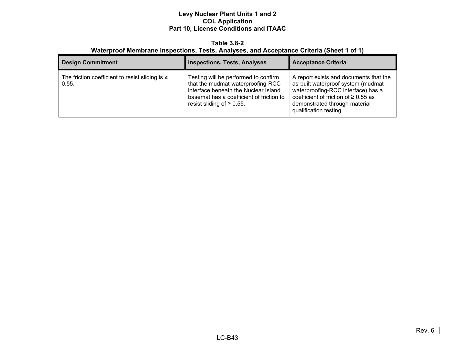#### **Table 3.8-2 Waterproof Membrane Inspections, Tests, Analyses, and Acceptance Criteria (Sheet 1 of 1)**

| <b>Design Commitment</b>                                      | <b>Inspections, Tests, Analyses</b>                                                                                                                                                              | <b>Acceptance Criteria</b>                                                                                                                                                                                                  |
|---------------------------------------------------------------|--------------------------------------------------------------------------------------------------------------------------------------------------------------------------------------------------|-----------------------------------------------------------------------------------------------------------------------------------------------------------------------------------------------------------------------------|
| The friction coefficient to resist sliding is $\geq$<br>0.55. | Testing will be performed to confirm<br>that the mudmat-waterproofing-RCC<br>interface beneath the Nuclear Island<br>basemat has a coefficient of friction to<br>resist sliding of $\geq 0.55$ . | A report exists and documents that the<br>as-built waterproof system (mudmat-<br>waterproofing-RCC interface) has a<br>coefficient of friction of $\geq 0.55$ as<br>demonstrated through material<br>qualification testing. |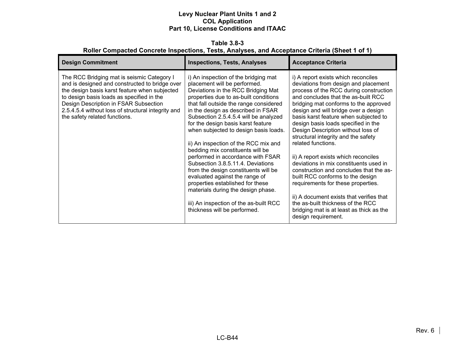**Table 3.8-3 Roller Compacted Concrete Inspections, Tests, Analyses, and Acceptance Criteria (Sheet 1 of 1)** 

| <b>Design Commitment</b>                                                                                                                                                                                                                                                                                                   | <b>Inspections, Tests, Analyses</b>                                                                                                                                                                                                                                                                                                                                                                                                                                                                                                                                                                                                                                                                                                             | <b>Acceptance Criteria</b>                                                                                                                                                                                                                                                                                                                                                                                                                                                                                                                                                                                                                                                                                                                                                                  |
|----------------------------------------------------------------------------------------------------------------------------------------------------------------------------------------------------------------------------------------------------------------------------------------------------------------------------|-------------------------------------------------------------------------------------------------------------------------------------------------------------------------------------------------------------------------------------------------------------------------------------------------------------------------------------------------------------------------------------------------------------------------------------------------------------------------------------------------------------------------------------------------------------------------------------------------------------------------------------------------------------------------------------------------------------------------------------------------|---------------------------------------------------------------------------------------------------------------------------------------------------------------------------------------------------------------------------------------------------------------------------------------------------------------------------------------------------------------------------------------------------------------------------------------------------------------------------------------------------------------------------------------------------------------------------------------------------------------------------------------------------------------------------------------------------------------------------------------------------------------------------------------------|
| The RCC Bridging mat is seismic Category I<br>and is designed and constructed to bridge over<br>the design basis karst feature when subjected<br>to design basis loads as specified in the<br>Design Description in FSAR Subsection<br>2.5.4.5.4 without loss of structural integrity and<br>the safety related functions. | i) An inspection of the bridging mat<br>placement will be performed.<br>Deviations in the RCC Bridging Mat<br>properties due to as-built conditions<br>that fall outside the range considered<br>in the design as described in FSAR<br>Subsection 2.5.4.5.4 will be analyzed<br>for the design basis karst feature<br>when subjected to design basis loads.<br>ii) An inspection of the RCC mix and<br>bedding mix constituents will be<br>performed in accordance with FSAR<br>Subsection 3.8.5.11.4. Deviations<br>from the design constituents will be<br>evaluated against the range of<br>properties established for these<br>materials during the design phase.<br>iii) An inspection of the as-built RCC<br>thickness will be performed. | i) A report exists which reconciles<br>deviations from design and placement<br>process of the RCC during construction<br>and concludes that the as-built RCC<br>bridging mat conforms to the approved<br>design and will bridge over a design<br>basis karst feature when subjected to<br>design basis loads specified in the<br>Design Description without loss of<br>structural integrity and the safety<br>related functions.<br>ii) A report exists which reconciles<br>deviations in mix constituents used in<br>construction and concludes that the as-<br>built RCC conforms to the design<br>requirements for these properties.<br>ii) A document exists that verifies that<br>the as-built thickness of the RCC<br>bridging mat is at least as thick as the<br>design requirement. |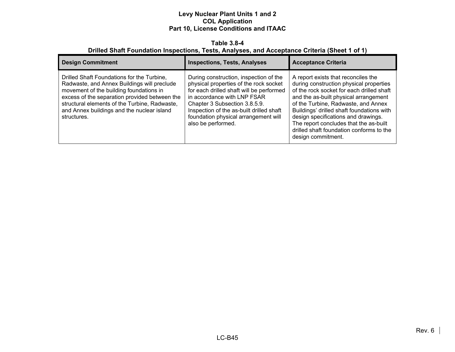#### **Table 3.8-4 Drilled Shaft Foundation Inspections, Tests, Analyses, and Acceptance Criteria (Sheet 1 of 1)**

| <b>Design Commitment</b>                                                                                                                                                                                                                                                                            | <b>Inspections, Tests, Analyses</b>                                                                                                                                                                                                                                                                    | <b>Acceptance Criteria</b>                                                                                                                                                                                                                                                                                                                                                                                  |
|-----------------------------------------------------------------------------------------------------------------------------------------------------------------------------------------------------------------------------------------------------------------------------------------------------|--------------------------------------------------------------------------------------------------------------------------------------------------------------------------------------------------------------------------------------------------------------------------------------------------------|-------------------------------------------------------------------------------------------------------------------------------------------------------------------------------------------------------------------------------------------------------------------------------------------------------------------------------------------------------------------------------------------------------------|
| Drilled Shaft Foundations for the Turbine,<br>Radwaste, and Annex Buildings will preclude<br>movement of the building foundations in<br>excess of the separation provided between the<br>structural elements of the Turbine, Radwaste,<br>and Annex buildings and the nuclear island<br>structures. | During construction, inspection of the<br>physical properties of the rock socket<br>for each drilled shaft will be performed<br>in accordance with LNP FSAR<br>Chapter 3 Subsection 3.8.5.9.<br>Inspection of the as-built drilled shaft<br>foundation physical arrangement will<br>also be performed. | A report exists that reconciles the<br>during construction physical properties<br>of the rock socket for each drilled shaft<br>and the as-built physical arrangement<br>of the Turbine, Radwaste, and Annex<br>Buildings' drilled shaft foundations with<br>design specifications and drawings.<br>The report concludes that the as-built<br>drilled shaft foundation conforms to the<br>design commitment. |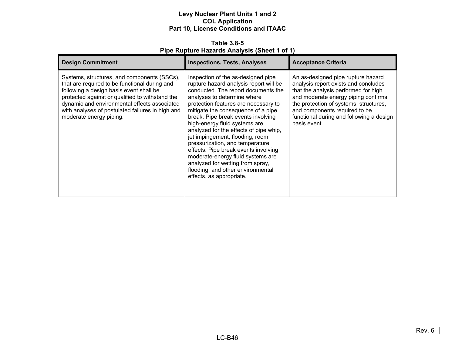**Table 3.8-5 Pipe Rupture Hazards Analysis (Sheet 1 of 1)** 

| <b>Design Commitment</b>                                                                                                                                                                                                                                                                                                  | <b>Inspections, Tests, Analyses</b>                                                                                                                                                                                                                                                                                                                                                                                                                                                                                                                                                                       | <b>Acceptance Criteria</b>                                                                                                                                                                                                                                                                       |
|---------------------------------------------------------------------------------------------------------------------------------------------------------------------------------------------------------------------------------------------------------------------------------------------------------------------------|-----------------------------------------------------------------------------------------------------------------------------------------------------------------------------------------------------------------------------------------------------------------------------------------------------------------------------------------------------------------------------------------------------------------------------------------------------------------------------------------------------------------------------------------------------------------------------------------------------------|--------------------------------------------------------------------------------------------------------------------------------------------------------------------------------------------------------------------------------------------------------------------------------------------------|
| Systems, structures, and components (SSCs),<br>that are required to be functional during and<br>following a design basis event shall be<br>protected against or qualified to withstand the<br>dynamic and environmental effects associated<br>with analyses of postulated failures in high and<br>moderate energy piping. | Inspection of the as-designed pipe<br>rupture hazard analysis report will be<br>conducted. The report documents the<br>analyses to determine where<br>protection features are necessary to<br>mitigate the consequence of a pipe<br>break. Pipe break events involving<br>high-energy fluid systems are<br>analyzed for the effects of pipe whip,<br>jet impingement, flooding, room<br>pressurization, and temperature<br>effects. Pipe break events involving<br>moderate-energy fluid systems are<br>analyzed for wetting from spray,<br>flooding, and other environmental<br>effects, as appropriate. | An as-designed pipe rupture hazard<br>analysis report exists and concludes<br>that the analysis performed for high<br>and moderate energy piping confirms<br>the protection of systems, structures,<br>and components required to be<br>functional during and following a design<br>basis event. |